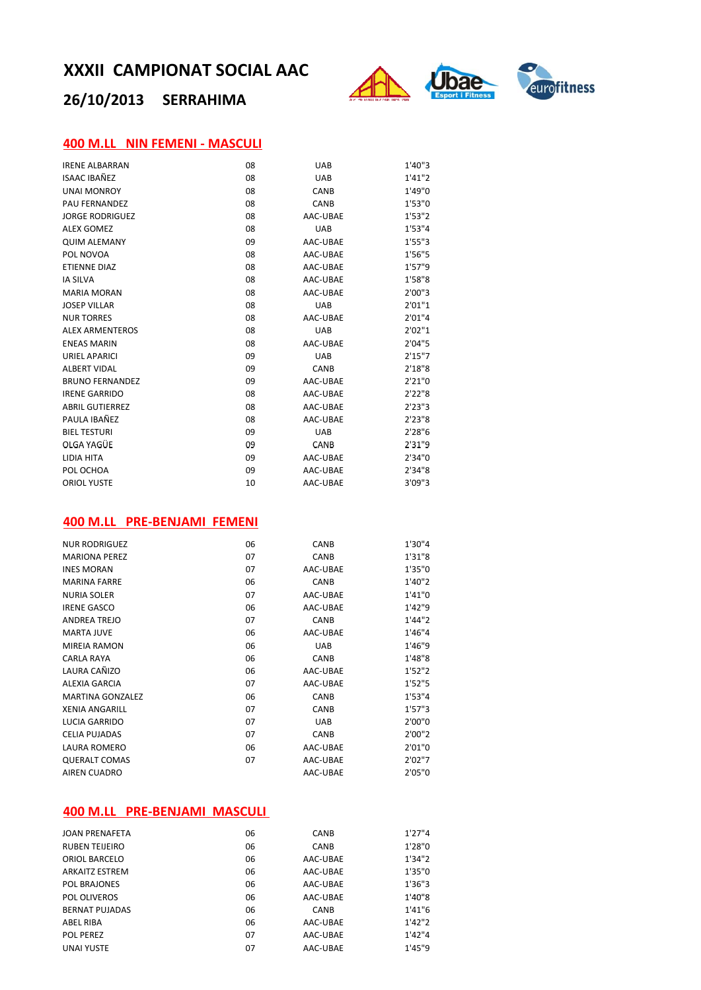# **26/10/2013 SERRAHIMA**



### **400 M.LL NIN FEMENI ‐ MASCULI**

| <b>IRENE ALBARRAN</b>  | 08 | <b>UAB</b>  | 1'40"3  |
|------------------------|----|-------------|---------|
| ISAAC IBAÑFZ           | 08 | <b>UAB</b>  | 1'41''2 |
| <b>UNAI MONROY</b>     | 08 | CANB        | 1'49"0  |
| <b>PAU FERNANDEZ</b>   | 08 | CANB        | 1'53''0 |
| <b>JORGE RODRIGUEZ</b> | 08 | AAC-UBAE    | 1'53"2  |
| <b>ALEX GOMEZ</b>      | 08 | <b>UAB</b>  | 1'53''4 |
| <b>QUIM ALEMANY</b>    | 09 | AAC-UBAE    | 1'55''3 |
| POL NOVOA              | 08 | AAC-UBAE    | 1'56"5  |
| <b>ETIENNE DIAZ</b>    | 08 | AAC-UBAE    | 1'57"9  |
| <b>IA SILVA</b>        | 08 | AAC-UBAE    | 1'58"8  |
| <b>MARIA MORAN</b>     | 08 | AAC-UBAE    | 2'00"3  |
| <b>JOSEP VILLAR</b>    | 08 | <b>UAB</b>  | 2'01''1 |
| <b>NUR TORRES</b>      | 08 | AAC-UBAE    | 2'01''4 |
| <b>ALEX ARMENTEROS</b> | 08 | <b>UAB</b>  | 2'02"1  |
| <b>ENEAS MARIN</b>     | 08 | AAC-UBAE    | 2'04"5  |
| <b>URIEL APARICI</b>   | 09 | <b>UAB</b>  | 2'15''7 |
| <b>ALBERT VIDAL</b>    | 09 | <b>CANB</b> | 2'18''8 |
| <b>BRUNO FERNANDEZ</b> | 09 | AAC-UBAE    | 2'21''0 |
| <b>IRENE GARRIDO</b>   | 08 | AAC-UBAE    | 2'22"8  |
| <b>ABRIL GUTIERREZ</b> | 08 | AAC-UBAE    | 2'23''3 |
| PAULA IBAÑEZ           | 08 | AAC-UBAE    | 2'23"8  |
| <b>BIEL TESTURI</b>    | 09 | <b>UAB</b>  | 2'28"6  |
| OLGA YAGÜE             | 09 | CANB        | 2'31"9  |
| LIDIA HITA             | 09 | AAC-UBAE    | 2'34"0  |
| POL OCHOA              | 09 | AAC-UBAE    | 2'34"8  |
| <b>ORIOL YUSTE</b>     | 10 | AAC-UBAE    | 3'09''3 |

### **400 M.LL PRE‐BENJAMI FEMENI**

| <b>NUR RODRIGUEZ</b>    | 06 | CANB       | 1'30"4  |
|-------------------------|----|------------|---------|
| <b>MARIONA PEREZ</b>    | 07 | CANB       | 1'31"8  |
| <b>INES MORAN</b>       | 07 | AAC-UBAE   | 1'35"0  |
| <b>MARINA FARRE</b>     | 06 | CANB       | 1'40"2  |
| <b>NURIA SOLER</b>      | 07 | AAC-UBAE   | 1'41"0  |
| <b>IRENE GASCO</b>      | 06 | AAC-UBAE   | 1'42"9  |
| <b>ANDREA TREJO</b>     | 07 | CANB       | 1'44"2  |
| <b>MARTA JUVE</b>       | 06 | AAC-UBAE   | 1'46"4  |
| <b>MIREIA RAMON</b>     | 06 | <b>UAB</b> | 1'46"9  |
| CARLA RAYA              | 06 | CANB       | 1'48"8  |
| LAURA CAÑIZO            | 06 | AAC-UBAE   | 1'52''2 |
| ALEXIA GARCIA           | 07 | AAC-UBAE   | 1'52"5  |
| <b>MARTINA GONZALEZ</b> | 06 | CANB       | 1'53''4 |
| <b>XENIA ANGARILL</b>   | 07 | CANB       | 1'57''3 |
| <b>LUCIA GARRIDO</b>    | 07 | <b>UAB</b> | 2'00"0  |
| <b>CELIA PUJADAS</b>    | 07 | CANB       | 2'00''2 |
| <b>LAURA ROMERO</b>     | 06 | AAC-UBAE   | 2'01"0  |
| <b>QUERALT COMAS</b>    | 07 | AAC-UBAE   | 2'02"7  |
| <b>AIREN CUADRO</b>     |    | AAC-UBAE   | 2'05"0  |
|                         |    |            |         |

### **400 M.LL PRE‐BENJAMI MASCULI**

| <b>JOAN PRENAFETA</b> | 06 | <b>CANB</b> | 1'27''4 |
|-----------------------|----|-------------|---------|
| <b>RUBEN TELIEIRO</b> | 06 | <b>CANB</b> | 1'28"0  |
| ORIOL BARCELO         | 06 | AAC-UBAE    | 1'34''2 |
| <b>ARKAITZ ESTREM</b> | 06 | AAC-UBAE    | 1'35"0  |
| POL BRAJONES          | 06 | AAC-UBAE    | 1'36"3  |
| POL OLIVEROS          | 06 | AAC-UBAE    | 1'40"8  |
| <b>BERNAT PUJADAS</b> | 06 | CANB        | 1'41''6 |
| ABEL RIBA             | 06 | AAC-UBAE    | 1'42''2 |
| <b>POL PEREZ</b>      | 07 | AAC-UBAE    | 1'42''4 |
| <b>UNAI YUSTE</b>     | 07 | AAC-UBAE    | 1'45''9 |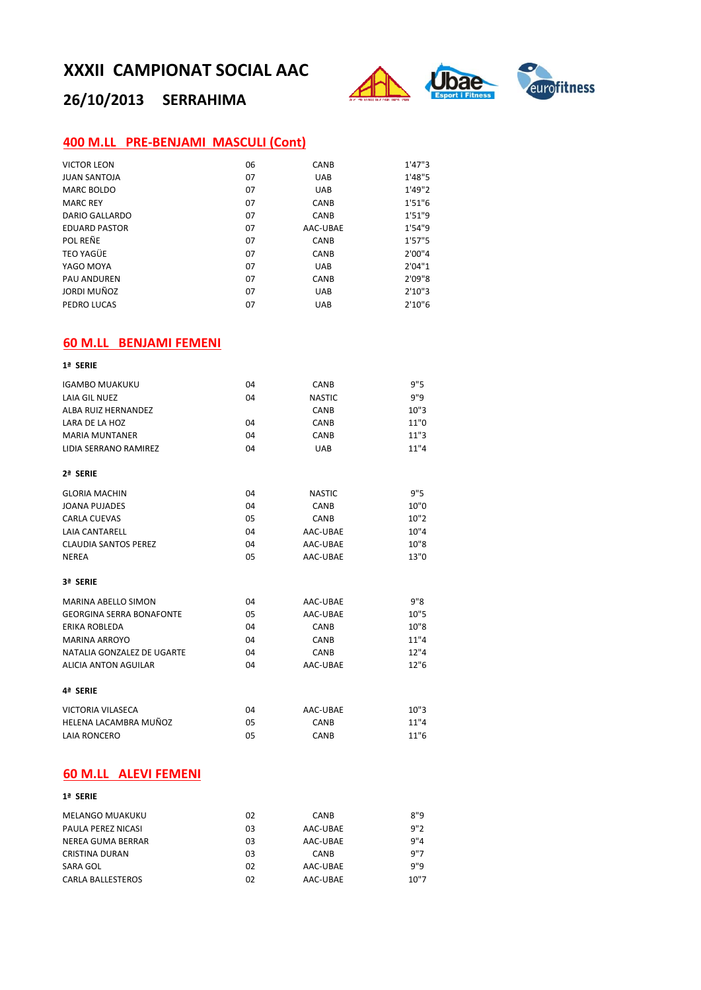

# **26/10/2013 SERRAHIMA**

## **400 M.LL PRE‐BENJAMI MASCULI (Cont)**

| <b>VICTOR LEON</b>   | 06 | CANB        | 1'47''3 |
|----------------------|----|-------------|---------|
| <b>JUAN SANTOJA</b>  | 07 | <b>UAB</b>  | 1'48"5  |
| MARC BOLDO           | 07 | <b>UAB</b>  | 1'49"2  |
| <b>MARC REY</b>      | 07 | <b>CANB</b> | 1'51''6 |
| DARIO GALLARDO       | 07 | <b>CANB</b> | 1'51"9  |
| <b>EDUARD PASTOR</b> | 07 | AAC-UBAE    | 1'54"9  |
| POL REÑE             | 07 | CANB        | 1'57''5 |
| TEO YAGÜE            | 07 | CANB        | 2'00''4 |
| YAGO MOYA            | 07 | <b>UAB</b>  | 2'04"1  |
| <b>PAU ANDUREN</b>   | 07 | CANB        | 2'09''8 |
| JORDI MUÑOZ          | 07 | <b>UAB</b>  | 2'10''3 |
| PEDRO LUCAS          | 07 | <b>UAB</b>  | 2'10''6 |

## **60 M.LL BENJAMI FEMENI**

| 1ª SERIE                        |     |               |      |
|---------------------------------|-----|---------------|------|
| <b>IGAMBO MUAKUKU</b>           | 04  | CANB          | 9"5  |
| <b>LAIA GIL NUEZ</b>            | 04  | <b>NASTIC</b> | 9"9  |
| ALBA RUIZ HERNANDEZ             |     | CANB          | 10"3 |
| LARA DE LA HOZ                  | 04  | CANB          | 11"0 |
| <b>MARIA MUNTANER</b>           | 04  | CANB          | 11"3 |
| LIDIA SERRANO RAMIREZ           | 04  | UAR           | 11"4 |
| 2ª SERIE                        |     |               |      |
| <b>GLORIA MACHIN</b>            | 04  | <b>NASTIC</b> | 9"5  |
| <b>JOANA PUJADES</b>            | 04  | CANB          | 10"0 |
| <b>CARLA CUEVAS</b>             | 05  | CANB          | 10"2 |
| <b>I AIA CANTARELL</b>          | 04  | AAC-UBAE      | 10"4 |
| <b>CLAUDIA SANTOS PEREZ</b>     | 04  | AAC-UBAE      | 10"8 |
| <b>NEREA</b>                    | 05  | AAC-UBAE      | 13"0 |
| 3ª SERIE                        |     |               |      |
| MARINA ABELLO SIMON             | 04  | AAC-UBAE      | 9"8  |
| <b>GEORGINA SERRA BONAFONTE</b> | 0.5 | AAC-UBAE      | 10"5 |
| <b>FRIKA ROBI FDA</b>           | 04  | CANB          | 10"8 |
| <b>MARINA ARROYO</b>            | 04  | CANB          | 11"4 |
| NATALIA GONZALEZ DE UGARTE      | 04  | CANB          | 12"4 |
| <b>ALICIA ANTON AGUILAR</b>     | 04  | AAC-UBAE      | 12"6 |
| 4ª SERIE                        |     |               |      |
| <b>VICTORIA VILASECA</b>        | 04  | AAC-UBAE      | 10"3 |
| HELENA LACAMBRA MUÑOZ           | 05  | CANB          | 11"4 |
| <b>LAIA RONCERO</b>             | 05  | CANB          | 11"6 |

## **60 M.LL ALEVI FEMENI**

| 1ª SERIE               |    |             |      |
|------------------------|----|-------------|------|
| <b>MELANGO MUAKUKU</b> | 02 | CANB        | 8"9  |
| PAULA PEREZ NICASI     | 03 | AAC-UBAE    | 9"2  |
| NEREA GUMA BERRAR      | 03 | AAC-UBAE    | 9"4  |
| <b>CRISTINA DURAN</b>  | 03 | <b>CANB</b> | 9"7  |
| SARA GOL               | 02 | AAC-UBAE    | 9"9  |
| CARLA BALLESTEROS      | 02 | AAC-UBAE    | 10"7 |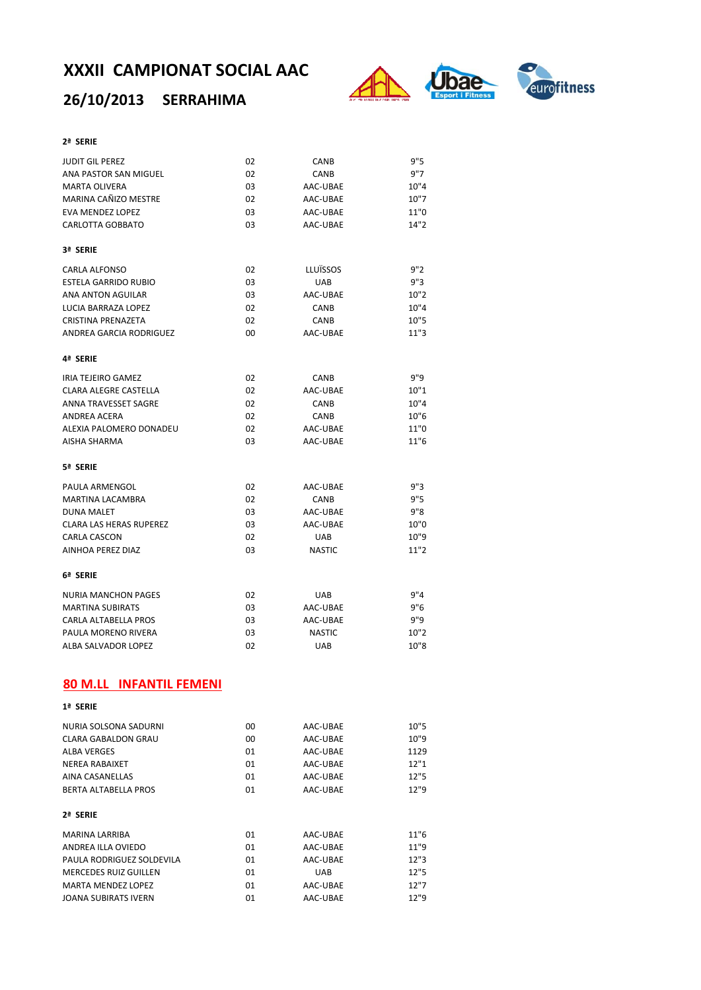# **26/10/2013 SERRAHIMA**



#### **2ª SERIE**

| <b>JUDIT GIL PEREZ</b>                       | 02       | CANB                 | 9"5          |
|----------------------------------------------|----------|----------------------|--------------|
| ANA PASTOR SAN MIGUEL                        | 02       | CANB                 | 9"7          |
| <b>MARTA OLIVERA</b>                         | 03       | AAC-UBAE             | 10"4         |
| MARINA CAÑIZO MESTRE                         | 02       | AAC-UBAE             | 10"7         |
| <b>EVA MENDEZ LOPEZ</b>                      | 03       | AAC-UBAE             | 11"0         |
| <b>CARLOTTA GOBBATO</b>                      | 03       | AAC-UBAE             | 14"2         |
| 3ª SERIE                                     |          |                      |              |
| <b>CARLA ALFONSO</b>                         | 02       | LLUÏSSOS             | 9"2          |
| <b>ESTELA GARRIDO RUBIO</b>                  | 03       | UAB                  | 9"3          |
| ANA ANTON AGUILAR                            | 03       | AAC-UBAE             | 10"2         |
| LUCIA BARRAZA LOPEZ                          | 02       | CANB                 | 10"4         |
| <b>CRISTINA PRENAZETA</b>                    | 02       | CANB                 | 10"5         |
| <b>ANDREA GARCIA RODRIGUEZ</b>               | 00       | AAC-UBAE             | 11"3         |
| 4ª SERIE                                     |          |                      |              |
| IRIA TEJEIRO GAMEZ                           | 02       | CANB                 | 9"9          |
| <b>CLARA ALEGRE CASTELLA</b>                 | 02       | AAC-UBAE             | 10"1         |
| <b>ANNA TRAVESSET SAGRE</b>                  | 02       | CANB                 | 10"4         |
| <b>ANDREA ACERA</b>                          | 02       | CANB                 | 10"6         |
| ALEXIA PALOMERO DONADEU                      | 02       | AAC-UBAE             | 11"0         |
| <b>AISHA SHARMA</b>                          | 03       | AAC-UBAE             | 11"6         |
| 5ª SERIE                                     |          |                      |              |
| PAULA ARMENGOL                               | 02       | AAC-UBAE             | 9"3          |
| <b>MARTINA LACAMBRA</b>                      | 02       | CANB                 | 9"5          |
| <b>DUNA MALET</b>                            | 03       | AAC-UBAE             | 9"8          |
| <b>CLARA LAS HERAS RUPEREZ</b>               | 03       | AAC-UBAE             | 10"0         |
| <b>CARLA CASCON</b>                          | 02       | <b>UAB</b>           | 10"9         |
| AINHOA PEREZ DIAZ                            | 03       | <b>NASTIC</b>        | 11"2         |
| 6ª SERIE                                     |          |                      |              |
| <b>NURIA MANCHON PAGES</b>                   | 02       | <b>UAB</b>           | 9''4         |
| <b>MARTINA SUBIRATS</b>                      | 03       | AAC-UBAE             | 9"6          |
| CARLA ALTABELLA PROS                         | 03       | AAC-UBAE             | 9"9          |
| PAULA MORENO RIVERA                          | 03       | <b>NASTIC</b>        | 10"2         |
| ALBA SALVADOR LOPEZ                          | 02       | UAB                  | 10"8         |
| <b>80 M.LL INFANTIL FEMENI</b>               |          |                      |              |
| 1ª SERIE                                     |          |                      |              |
|                                              |          |                      |              |
| NURIA SOLSONA SADURNI<br>CLARA GABALDON GRAU | 00<br>00 | AAC-UBAE<br>AAC-UBAE | 10"5<br>10"9 |
| <b>ALBA VERGES</b>                           | 01       | AAC-UBAE             | 1129         |
| <b>NEREA RABAIXET</b>                        | 01       | AAC-UBAE             | 12"1         |
| AINA CASANELLAS                              | 01       | AAC-UBAE             | 12"5         |
| <b>BERTA ALTABELLA PROS</b>                  | 01       | AAC-UBAE             | 12"9         |
| 2ª SERIE                                     |          |                      |              |
| MARINA LARRIBA                               | 01       | AAC-UBAE             | 11"6         |
| ANDREA ILLA OVIEDO                           | 01       | AAC-UBAE             | 11"9         |
| PAULA RODRIGUEZ SOLDEVILA                    | 01       | AAC-UBAE             | 12"3         |
| MERCEDES RUIZ GUILLEN                        | 01       | UAB                  | 12"5         |
| MARTA MENDEZ LOPEZ                           | 01       | AAC-UBAE             | 12"7         |
| JOANA SUBIRATS IVERN                         | 01       | AAC-UBAE             | 12"9         |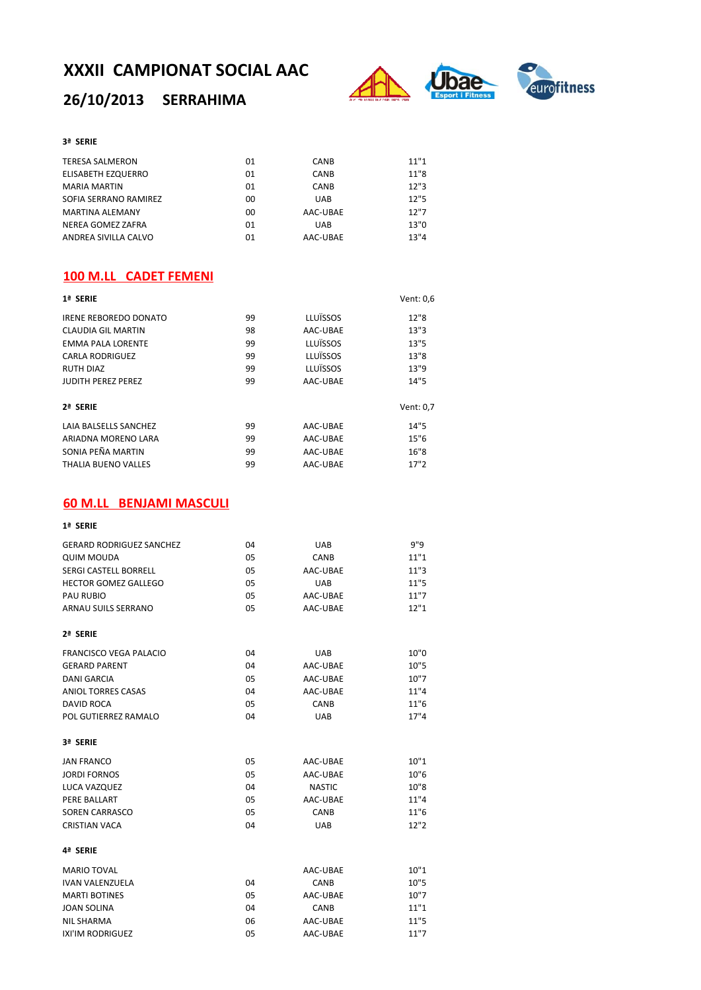# **26/10/2013 SERRAHIMA**



#### **3ª SERIE**

| <b>TERESA SALMERON</b> | 01 | <b>CANB</b> | 11"1 |
|------------------------|----|-------------|------|
| ELISABETH EZQUERRO     | 01 | <b>CANB</b> | 11"8 |
| <b>MARIA MARTIN</b>    | 01 | <b>CANB</b> | 12"3 |
| SOFIA SERRANO RAMIREZ  | 00 | <b>UAB</b>  | 12"5 |
| <b>MARTINA ALEMANY</b> | 00 | AAC-UBAE    | 12"7 |
| NEREA GOMEZ ZAFRA      | 01 | <b>UAB</b>  | 13"0 |
| ANDREA SIVILLA CALVO   | 01 | AAC-UBAE    | 13"4 |

#### **100 M.LL CADET FEMENI**

| 1ª SERIE                     |    |          | Vent: 0,6 |
|------------------------------|----|----------|-----------|
| <b>IRENE REBOREDO DONATO</b> | 99 | LLUÏSSOS | 12"8      |
| CLAUDIA GIL MARTIN           | 98 | AAC-UBAE | 13"3      |
| <b>EMMA PALA LORENTE</b>     | 99 | LLUÏSSOS | 13"5      |
| <b>CARLA RODRIGUEZ</b>       | 99 | LLUÏSSOS | 13"8      |
| <b>RUTH DIAZ</b>             | 99 | LLUÏSSOS | 13"9      |
| <b>JUDITH PEREZ PEREZ</b>    | 99 | AAC-UBAE | 14"5      |
| 2ª SERIE                     |    |          | Vent: 0,7 |
| LAIA BALSELLS SANCHEZ        | 99 | AAC-UBAE | 14"5      |
| ARIADNA MORENO LARA          | 99 | AAC-UBAE | 15"6      |
| SONIA PEÑA MARTIN            | 99 | AAC-UBAE | 16"8      |
| <b>THALIA BUENO VALLES</b>   | 99 | AAC-UBAE | 17"2      |

### **60 M.LL BENJAMI MASCULI**

| 1ª SERIE                        |     |               |      |
|---------------------------------|-----|---------------|------|
| <b>GERARD RODRIGUEZ SANCHEZ</b> | 04  | <b>UAB</b>    | 9"9  |
| <b>QUIM MOUDA</b>               | 05  | CANB          | 11"1 |
| <b>SERGI CASTELL BORRELL</b>    | 05  | AAC-UBAE      | 11"3 |
| <b>HECTOR GOMEZ GALLEGO</b>     | 05  | <b>UAB</b>    | 11"5 |
| <b>PAU RUBIO</b>                | 0.5 | AAC-UBAE      | 11"7 |
| ARNAU SUILS SERRANO             | 05  | AAC-UBAE      | 12"1 |
| 2ª SERIE                        |     |               |      |
| <b>FRANCISCO VEGA PALACIO</b>   | 04  | <b>UAB</b>    | 10"0 |
| <b>GERARD PARENT</b>            | 04  | AAC-UBAE      | 10"5 |
| <b>DANI GARCIA</b>              | 0.5 | AAC-UBAE      | 10"7 |
| <b>ANIOL TORRES CASAS</b>       | 04  | AAC-UBAE      | 11"4 |
| <b>DAVID ROCA</b>               | 05  | CANB          | 11"6 |
| POL GUTIERREZ RAMALO            | 04  | <b>UAB</b>    | 17"4 |
| 3ª SERIE                        |     |               |      |
| <b>JAN FRANCO</b>               | 05  | AAC-UBAE      | 10"1 |
| <b>JORDI FORNOS</b>             | 05  | AAC-UBAE      | 10"6 |
| LUCA VAZQUEZ                    | 04  | <b>NASTIC</b> | 10"8 |
| PERE BALLART                    | 05  | AAC-UBAE      | 11"4 |
| <b>SOREN CARRASCO</b>           | 0.5 | CANB          | 11"6 |
| <b>CRISTIAN VACA</b>            | 04  | <b>UAB</b>    | 12"2 |
| 4ª SERIE                        |     |               |      |
| <b>MARIO TOVAL</b>              |     | AAC-UBAE      | 10"1 |
| <b>IVAN VALENZUELA</b>          | 04  | CANB          | 10"5 |
| <b>MARTI BOTINES</b>            | 05  | AAC-UBAE      | 10"7 |
| <b>JOAN SOLINA</b>              | 04  | CANB          | 11"1 |
| <b>NIL SHARMA</b>               | 06  | AAC-UBAE      | 11"5 |
| IXI'IM RODRIGUEZ                | 05  | AAC-UBAE      | 11"7 |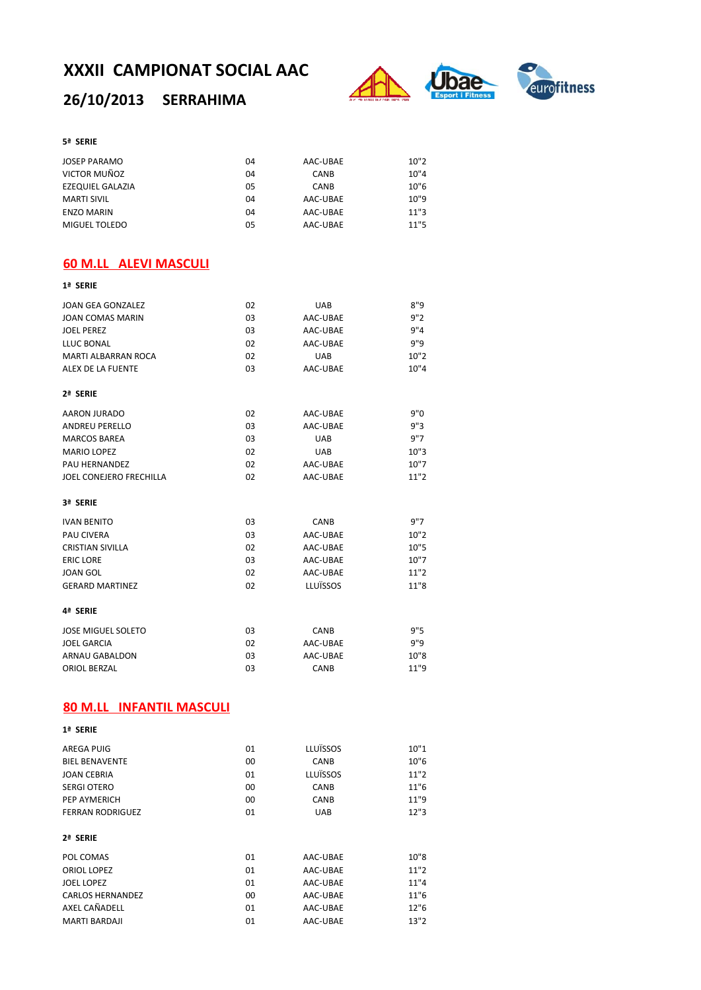# **26/10/2013 SERRAHIMA**



#### **5ª SERIE**

| <b>JOSEP PARAMO</b>  | 04 | AAC-UBAE | 10"2 |
|----------------------|----|----------|------|
| VICTOR MUÑOZ         | 04 | CANB     | 10"4 |
| EZEQUIEL GALAZIA     | 05 | CANB     | 10"6 |
| MARTI SIVIL          | 04 | AAC-UBAE | 10"9 |
| <b>ENZO MARIN</b>    | 04 | AAC-UBAE | 11"3 |
| <b>MIGUEL TOLEDO</b> | 05 | AAC-UBAE | 11"5 |

## **60 M.LL ALEVI MASCULI**

| 1ª SERIE                        |    |            |      |
|---------------------------------|----|------------|------|
| <b>JOAN GEA GONZALEZ</b>        | 02 | <b>UAB</b> | 8"9  |
| <b>JOAN COMAS MARIN</b>         | 03 | AAC-UBAE   | 9"2  |
| <b>JOEL PEREZ</b>               | 03 | AAC-UBAE   | 9"4  |
| <b>LLUC BONAL</b>               | 02 | AAC-UBAE   | 9"9  |
| <b>MARTI ALBARRAN ROCA</b>      | 02 | <b>UAB</b> | 10"2 |
| ALEX DE LA FUENTE               | 03 | AAC-UBAE   | 10"4 |
| 2ª SERIE                        |    |            |      |
| AARON JURADO                    | 02 | AAC-UBAE   | 9"0  |
| <b>ANDREU PERELLO</b>           | 03 | AAC-UBAE   | 9"3  |
| <b>MARCOS BAREA</b>             | 03 | <b>UAB</b> | 9"7  |
| <b>MARIO LOPEZ</b>              | 02 | <b>UAB</b> | 10"3 |
| PAU HERNANDEZ                   | 02 | AAC-UBAE   | 10"7 |
| JOEL CONEJERO FRECHILLA         | 02 | AAC-UBAE   | 11"2 |
| 3ª SERIE                        |    |            |      |
| <b>IVAN BENITO</b>              | 03 | CANB       | 9"7  |
| <b>PAU CIVERA</b>               | 03 | AAC-UBAE   | 10"2 |
| <b>CRISTIAN SIVILLA</b>         | 02 | AAC-UBAE   | 10"5 |
| <b>ERIC LORE</b>                | 03 | AAC-UBAE   | 10"7 |
| <b>JOAN GOL</b>                 | 02 | AAC-UBAE   | 11"2 |
| <b>GERARD MARTINEZ</b>          | 02 | LLUÏSSOS   | 11"8 |
| 4ª SERIE                        |    |            |      |
| <b>JOSE MIGUEL SOLETO</b>       | 03 | CANB       | 9"5  |
| <b>JOEL GARCIA</b>              | 02 | AAC-UBAE   | 9"9  |
| <b>ARNAU GABALDON</b>           | 03 | AAC-UBAE   | 10"8 |
| <b>ORIOL BERZAL</b>             | 03 | CANB       | 11"9 |
| <b>80 M.LL INFANTIL MASCULI</b> |    |            |      |
| 1ª SERIE                        |    |            |      |
| AREGA PUIG                      | 01 | LLUÏSSOS   | 10"1 |

| AREGA PUIG              | 01 | LLUÏSSOS    | 10"1 |
|-------------------------|----|-------------|------|
| <b>BIEL BENAVENTE</b>   | 00 | <b>CANB</b> | 10"6 |
| JOAN CEBRIA             | 01 | LLUÏSSOS    | 11"2 |
| <b>SERGI OTERO</b>      | 00 | <b>CANB</b> | 11"6 |
| PEP AYMERICH            | 00 | CANB        | 11"9 |
| <b>FERRAN RODRIGUEZ</b> | 01 | <b>UAB</b>  | 12"3 |
|                         |    |             |      |
| 2ª SERIE                |    |             |      |
| POL COMAS               | 01 | AAC-UBAE    | 10"8 |
| ORIOL LOPEZ             | 01 | AAC-UBAE    | 11"2 |
| JOEL LOPEZ              | 01 | AAC-UBAE    | 11"4 |
| <b>CARLOS HERNANDEZ</b> | 00 | AAC-UBAE    | 11"6 |
| AXEL CAÑADELL           | 01 | AAC-UBAE    | 12"6 |
| <b>MARTI BARDAJI</b>    | 01 | AAC-UBAE    | 13"2 |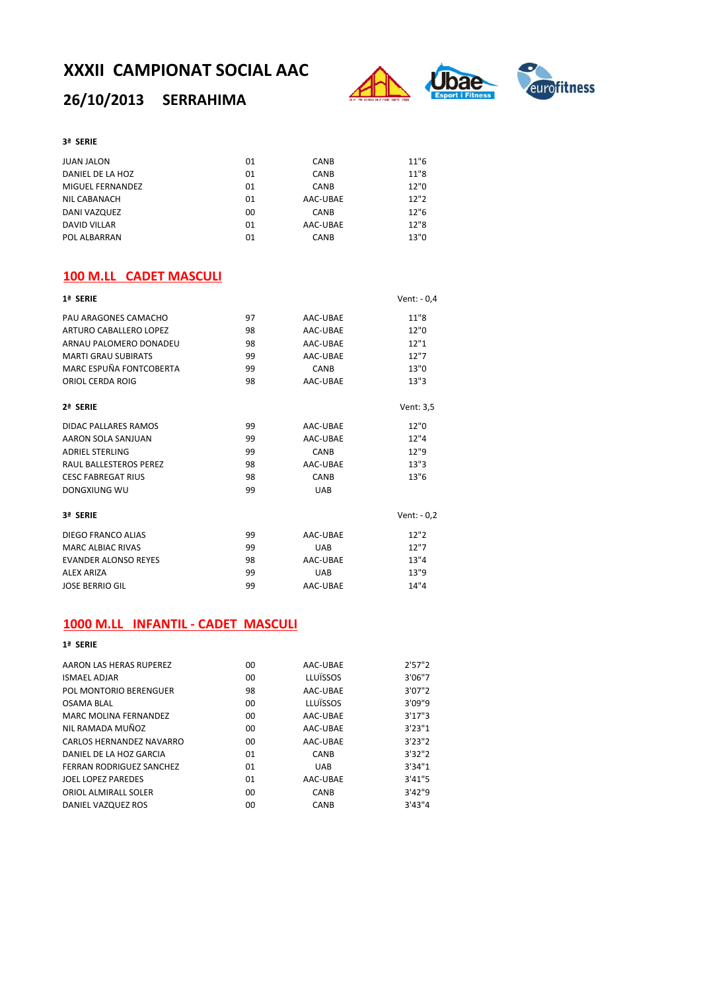## **26/10/2013 SERRAHIMA**



#### **3ª SERIE**

| <b>JUAN JALON</b> | 01 | <b>CANB</b> | 11"6 |
|-------------------|----|-------------|------|
| DANIEL DE LA HOZ  | 01 | <b>CANB</b> | 11"8 |
| MIGUEL FERNANDEZ  | 01 | <b>CANB</b> | 12"0 |
| NIL CABANACH      | 01 | AAC-UBAE    | 12"2 |
| DANI VAZQUEZ      | 00 | <b>CANB</b> | 12"6 |
| DAVID VILLAR      | 01 | AAC-UBAE    | 12"8 |
| POL ALBARRAN      | 01 | <b>CANB</b> | 13"0 |

### **100 M.LL CADET MASCULI**

| 1ª SERIE                    |    |            | Vent: - 0,4  |
|-----------------------------|----|------------|--------------|
| PAU ARAGONES CAMACHO        | 97 | AAC-UBAE   | 11"8         |
| ARTURO CABALLERO LOPEZ      | 98 | AAC-UBAE   | 12"0         |
| ARNAU PALOMERO DONADEU      | 98 | AAC-UBAE   | 12"1         |
| <b>MARTI GRAU SUBIRATS</b>  | 99 | AAC-UBAE   | 12"7         |
| MARC ESPUÑA FONTCOBERTA     | 99 | CANB       | 13"0         |
| ORIOL CERDA ROIG            | 98 | AAC-UBAE   | 13"3         |
| 2ª SERIE                    |    |            | Vent: 3,5    |
| DIDAC PALLARES RAMOS        | 99 | AAC-UBAE   | 12"0         |
| AARON SOLA SANJUAN          | 99 | AAC-UBAE   | 12"4         |
| <b>ADRIEL STERLING</b>      | 99 | CANB       | 12"9         |
| RAUL BALLESTEROS PEREZ      | 98 | AAC-UBAE   | 13"3         |
| <b>CESC FABREGAT RIUS</b>   | 98 | CANB       | 13"6         |
| DONGXIUNG WU                | 99 | <b>UAB</b> |              |
| 3ª SERIE                    |    |            | Vent: $-0.2$ |
| DIEGO FRANCO ALIAS          | 99 | AAC-UBAE   | 12"2         |
| <b>MARC ALBIAC RIVAS</b>    | 99 | <b>UAB</b> | 12"7         |
| <b>EVANDER ALONSO REYES</b> | 98 | AAC-UBAE   | 13"4         |
| <b>ALEX ARIZA</b>           | 99 | <b>UAB</b> | 13"9         |
| <b>JOSE BERRIO GIL</b>      | 99 | AAC-UBAE   | 14"4         |

### **1000 M.LL INFANTIL ‐ CADET MASCULI**

#### **1ª SERIE** AARON LAS HERAS RUPEREZ 00 AAC-UBAE 2'57"2 ISMAEL ADJAR 00 LLUÏSSOS 3'06"7 POL MONTORIO BERENGUER 38 OSAMA BLAL 00 LLUÏSSOS 3'09"9 MARC MOLINA FERNANDEZ 00 AAC-UBAE 3'17"3 NIL RAMADA MUÑOZ 00 AAC‐UBAE 3'23"1 CARLOS HERNANDEZ NAVARRO 00 AAC‐UBAE 3'23"2<br>
DANIEL DE LA HOZ GARCIA 01 CANB 3'32"2 DANIEL DE LA HOZ GARCIA 01 CANB 3'32"2 FERRAN RODRIGUEZ SANCHEZ 01 UAB 3'34"1 JOEL LOPEZ PAREDES ORIOL ALMIRALL SOLER 00 CANB 3'42"9 DANIEL VAZQUEZ ROS 00 CANB 3'43"4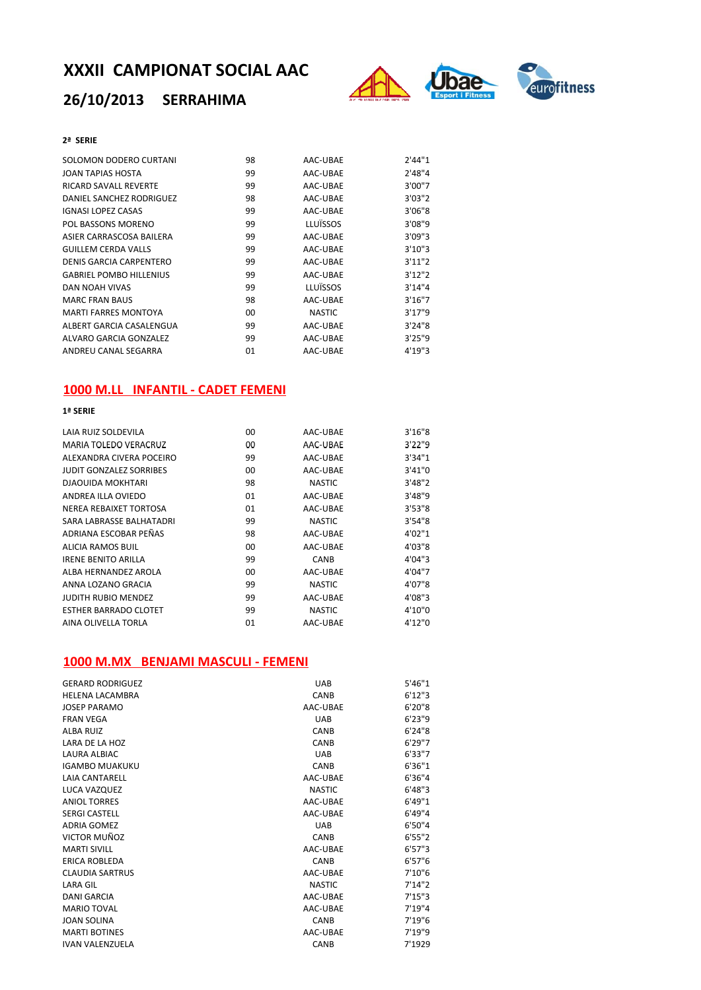# **26/10/2013 SERRAHIMA**



### **2ª SERIE**

| SOLOMON DODERO CURTANI         | 98 | AAC-UBAE      | 2'44"1  |
|--------------------------------|----|---------------|---------|
| JOAN TAPIAS HOSTA              | 99 | AAC-UBAE      | 2'48''4 |
| RICARD SAVALL REVERTE          | 99 | AAC-UBAE      | 3'00"7  |
| DANIEL SANCHEZ RODRIGUEZ       | 98 | AAC-UBAE      | 3'03''2 |
| <b>IGNASI LOPEZ CASAS</b>      | 99 | AAC-UBAE      | 3'06"8  |
| POL BASSONS MORENO             | 99 | LLUÏSSOS      | 3'08"9  |
| ASIER CARRASCOSA BAILERA       | 99 | AAC-UBAE      | 3'09"3  |
| <b>GUILLEM CERDA VALLS</b>     | 99 | AAC-UBAE      | 3'10''3 |
| DENIS GARCIA CARPENTERO        | 99 | AAC-UBAE      | 3'11''2 |
| <b>GABRIEL POMBO HILLENIUS</b> | 99 | AAC-UBAE      | 3'12''2 |
| DAN NOAH VIVAS                 | 99 | LLUÏSSOS      | 3'14''4 |
| <b>MARC FRAN BAUS</b>          | 98 | AAC-UBAE      | 3'16''7 |
| <b>MARTI FARRES MONTOYA</b>    | 00 | <b>NASTIC</b> | 3'17''9 |
| ALBERT GARCIA CASALENGUA       | 99 | AAC-UBAE      | 3'24"8  |
| ALVARO GARCIA GONZALEZ         | 99 | AAC-UBAE      | 3'25''9 |
| ANDREU CANAL SEGARRA           | 01 | AAC-UBAE      | 4'19''3 |

### **1000 M.LL INFANTIL ‐ CADET FEMENI**

### **1ª SERIE**

| 00 | AAC-UBAE      | 3'16''8 |
|----|---------------|---------|
| 00 | AAC-UBAE      | 3'22''9 |
| 99 | AAC-UBAE      | 3'34''1 |
| 00 | AAC-UBAE      | 3'41"0  |
| 98 | <b>NASTIC</b> | 3'48''2 |
| 01 | AAC-UBAE      | 3'48''9 |
| 01 | AAC-UBAE      | 3'53''8 |
| 99 | <b>NASTIC</b> | 3'54''8 |
| 98 | AAC-UBAE      | 4'02"1  |
| 00 | AAC-UBAE      | 4'03"8  |
| 99 | CANB          | 4'04"3  |
| 00 | AAC-UBAE      | 4'04"7  |
| 99 | <b>NASTIC</b> | 4'07"8  |
| 99 | AAC-UBAE      | 4'08"3  |
| 99 | <b>NASTIC</b> | 4'10"0  |
| 01 | AAC-UBAE      | 4'12"0  |
|    |               |         |

### **1000 M.MX BENJAMI MASCULI ‐ FEMENI**

| <b>GERARD RODRIGUEZ</b> | <b>UAB</b>    | 5'46''1 |
|-------------------------|---------------|---------|
| <b>HELENA LACAMBRA</b>  | CANB          | 6'12''3 |
| <b>JOSEP PARAMO</b>     | AAC-UBAE      | 6'20''8 |
| <b>FRAN VEGA</b>        | <b>UAB</b>    | 6'23''9 |
| <b>ALBA RUIZ</b>        | CANB          | 6'24''8 |
| <b>LARA DE LA HOZ</b>   | CANB          | 6'29''7 |
| LAURA ALBIAC            | <b>UAB</b>    | 6'33"7  |
| <b>IGAMBO MUAKUKU</b>   | CANB          | 6'36"1  |
| <b>LAIA CANTARELL</b>   | AAC-UBAE      | 6'36''4 |
| LUCA VAZQUEZ            | <b>NASTIC</b> | 6'48''3 |
| <b>ANIOL TORRES</b>     | AAC-UBAE      | 6'49''1 |
| <b>SERGI CASTELL</b>    | AAC-UBAE      | 6'49''4 |
| <b>ADRIA GOMEZ</b>      | <b>UAB</b>    | 6'50"4  |
| VICTOR MUÑOZ            | CANB          | 6'55''2 |
| <b>MARTI SIVILL</b>     | AAC-UBAE      | 6'57''3 |
| <b>ERICA ROBLEDA</b>    | CANB          | 6'57''6 |
| <b>CLAUDIA SARTRUS</b>  | AAC-UBAE      | 7'10"6  |
| <b>LARA GIL</b>         | <b>NASTIC</b> | 7'14''2 |
| DANI GARCIA             | AAC-UBAE      | 7'15''3 |
| <b>MARIO TOVAL</b>      | AAC-UBAE      | 7'19''4 |
| <b>JOAN SOLINA</b>      | CANB          | 7'19''6 |
| <b>MARTI BOTINES</b>    | AAC-UBAE      | 7'19"9  |
| <b>IVAN VALENZUELA</b>  | CANB          | 7'1929  |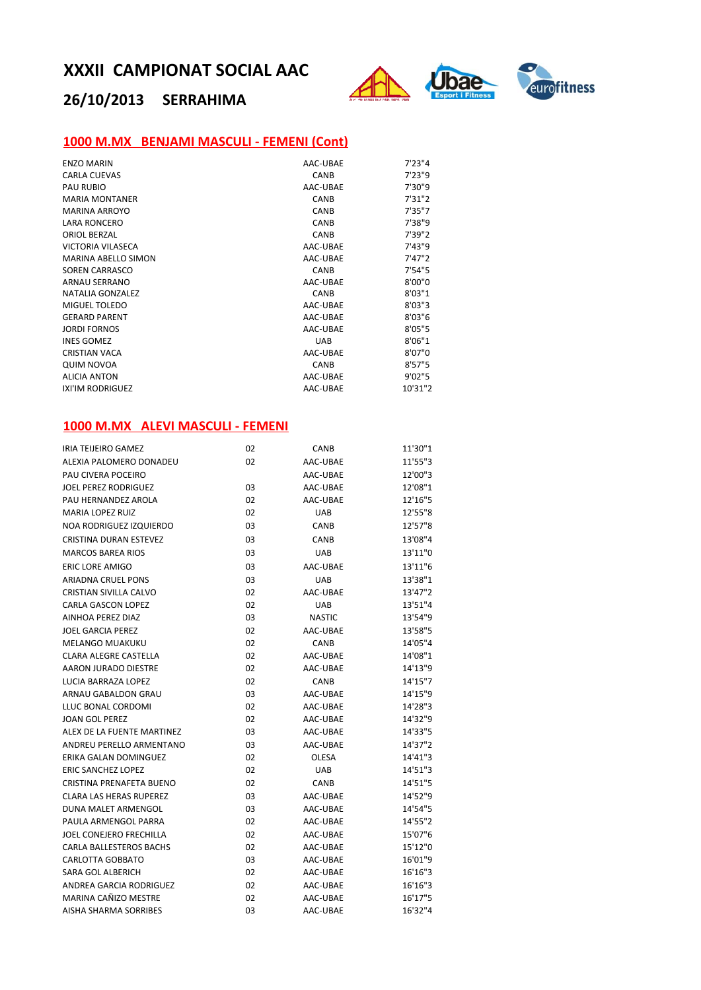

# **26/10/2013 SERRAHIMA**

## **1000 M.MX BENJAMI MASCULI ‐ FEMENI (Cont)**

| <b>ENZO MARIN</b>          | AAC-UBAE    | 7'23''4 |
|----------------------------|-------------|---------|
| <b>CARLA CUEVAS</b>        | CANB        | 7'23"9  |
| <b>PAU RUBIO</b>           | AAC-UBAE    | 7'30"9  |
| <b>MARIA MONTANER</b>      | CANB        | 7'31''2 |
| <b>MARINA ARROYO</b>       | CANB        | 7'35"7  |
| <b>LARA RONCERO</b>        | <b>CANB</b> | 7'38"9  |
| <b>ORIOL BERZAL</b>        | CANB        | 7'39"2  |
| VICTORIA VILASECA          | AAC-UBAE    | 7'43''9 |
| <b>MARINA ABELLO SIMON</b> | AAC-UBAE    | 7'47''2 |
| <b>SOREN CARRASCO</b>      | CANB        | 7'54"5  |
| ARNAU SERRANO              | AAC-UBAE    | 8'00"0  |
| <b>NATALIA GONZALEZ</b>    | CANB        | 8'03''1 |
| MIGUEL TOLEDO              | AAC-UBAE    | 8'03''3 |
| <b>GERARD PARENT</b>       | AAC-UBAE    | 8'03''6 |
| <b>JORDI FORNOS</b>        | AAC-UBAE    | 8'05"5  |
| <b>INES GOMEZ</b>          | <b>UAB</b>  | 8'06"1  |
| <b>CRISTIAN VACA</b>       | AAC-UBAE    | 8'07"0  |
| <b>QUIM NOVOA</b>          | CANB        | 8'57''5 |
| <b>ALICIA ANTON</b>        | AAC-UBAE    | 9'02"5  |
| <b>IXI'IM RODRIGUEZ</b>    | AAC-UBAE    | 10'31"2 |

### **1000 M.MX ALEVI MASCULI ‐ FEMENI**

| <b>IRIA TEIJEIRO GAMEZ</b>     | 02 | CANB          | 11'30"1 |
|--------------------------------|----|---------------|---------|
| ALEXIA PALOMERO DONADEU        | 02 | AAC-UBAE      | 11'55"3 |
| PAU CIVERA POCEIRO             |    | AAC-UBAE      | 12'00"3 |
| <b>JOEL PEREZ RODRIGUEZ</b>    | 03 | AAC-UBAE      | 12'08"1 |
| PAU HERNANDEZ AROLA            | 02 | AAC-UBAE      | 12'16"5 |
| <b>MARIA LOPEZ RUIZ</b>        | 02 | <b>UAB</b>    | 12'55"8 |
| NOA RODRIGUEZ IZQUIERDO        | 03 | CANB          | 12'57"8 |
| <b>CRISTINA DURAN ESTEVEZ</b>  | 03 | CANB          | 13'08"4 |
| <b>MARCOS BAREA RIOS</b>       | 03 | <b>UAB</b>    | 13'11"0 |
| <b>ERIC LORE AMIGO</b>         | 03 | AAC-UBAE      | 13'11"6 |
| <b>ARIADNA CRUEL PONS</b>      | 03 | <b>UAB</b>    | 13'38"1 |
| <b>CRISTIAN SIVILLA CALVO</b>  | 02 | AAC-UBAE      | 13'47"2 |
| <b>CARLA GASCON LOPEZ</b>      | 02 | <b>UAB</b>    | 13'51"4 |
| AINHOA PEREZ DIAZ              | 03 | <b>NASTIC</b> | 13'54"9 |
| <b>JOEL GARCIA PEREZ</b>       | 02 | AAC-UBAE      | 13'58"5 |
| <b>MELANGO MUAKUKU</b>         | 02 | <b>CANB</b>   | 14'05"4 |
| <b>CLARA ALEGRE CASTELLA</b>   | 02 | AAC-UBAE      | 14'08"1 |
| AARON JURADO DIESTRE           | 02 | AAC-UBAE      | 14'13"9 |
| LUCIA BARRAZA LOPEZ            | 02 | CANB          | 14'15"7 |
| ARNAU GABALDON GRAU            | 03 | AAC-UBAE      | 14'15"9 |
| LLUC BONAL CORDOMI             | 02 | AAC-UBAE      | 14'28"3 |
| <b>JOAN GOL PEREZ</b>          | 02 | AAC-UBAE      | 14'32"9 |
| ALEX DE LA FUENTE MARTINEZ     | 03 | AAC-UBAE      | 14'33"5 |
| ANDREU PERELLO ARMENTANO       | 03 | AAC-UBAE      | 14'37"2 |
| ERIKA GALAN DOMINGUEZ          | 02 | <b>OLESA</b>  | 14'41"3 |
| <b>ERIC SANCHEZ LOPEZ</b>      | 02 | UAB           | 14'51"3 |
| CRISTINA PRENAFETA BUENO       | 02 | CANB          | 14'51"5 |
| <b>CLARA LAS HERAS RUPEREZ</b> | 03 | AAC-UBAE      | 14'52"9 |
| DUNA MALET ARMENGOL            | 03 | AAC-UBAE      | 14'54"5 |
| PAULA ARMENGOL PARRA           | 02 | AAC-UBAE      | 14'55"2 |
| <b>JOEL CONEJERO FRECHILLA</b> | 02 | AAC-UBAE      | 15'07"6 |
| <b>CARLA BALLESTEROS BACHS</b> | 02 | AAC-UBAE      | 15'12"0 |
| CARLOTTA GOBBATO               | 03 | AAC-UBAE      | 16'01"9 |
| <b>SARA GOL ALBERICH</b>       | 02 | AAC-UBAE      | 16'16"3 |
| ANDREA GARCIA RODRIGUEZ        | 02 | AAC-UBAE      | 16'16"3 |
| MARINA CAÑIZO MESTRE           | 02 | AAC-UBAE      | 16'17"5 |
| AISHA SHARMA SORRIBES          | 03 | AAC-UBAE      | 16'32"4 |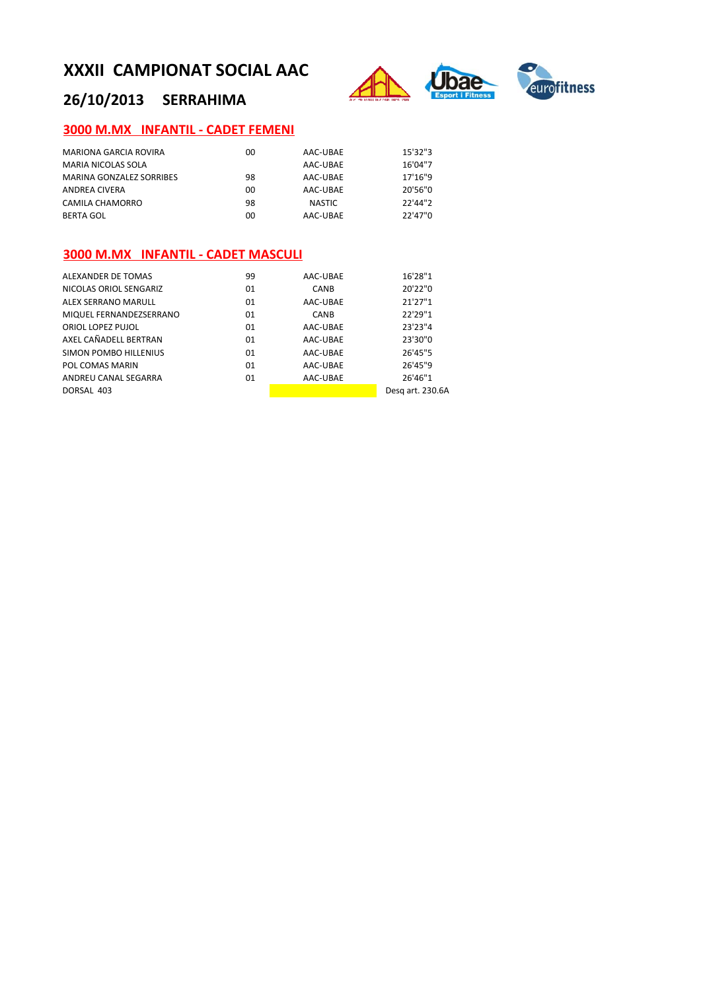

# **26/10/2013 SERRAHIMA**

## **3000 M.MX INFANTIL ‐ CADET FEMENI**

| MARIONA GARCIA ROVIRA    | 00 | AAC-UBAE | 15'32"3 |
|--------------------------|----|----------|---------|
| MARIA NICOLAS SOLA       |    | AAC-UBAE | 16'04"7 |
| MARINA GONZALEZ SORRIBES | 98 | AAC-UBAE | 17'16"9 |
| ANDREA CIVERA            | 00 | AAC-UBAE | 20'56"0 |
| CAMILA CHAMORRO          | 98 | NASTIC   | 22'44"2 |
| <b>BERTA GOL</b>         | 00 | AAC-UBAE | 22'47"0 |

## **3000 M.MX INFANTIL ‐ CADET MASCULI**

| ALEXANDER DE TOMAS           | 99 | AAC-UBAE    | 16'28"1          |
|------------------------------|----|-------------|------------------|
| NICOLAS ORIOL SENGARIZ       | 01 | <b>CANB</b> | 20'22"0          |
| ALEX SERRANO MARULL          | 01 | AAC-UBAE    | 21'27"1          |
| MIQUEL FERNANDEZSERRANO      | 01 | <b>CANB</b> | 22'29"1          |
| ORIOL LOPEZ PUJOL            | 01 | AAC-UBAE    | 23'23"4          |
| AXEL CAÑADELL BERTRAN        | 01 | AAC-UBAE    | 23'30"0          |
| <b>SIMON POMBO HILLENIUS</b> | 01 | AAC-UBAE    | 26'45"5          |
| POL COMAS MARIN              | 01 | AAC-UBAE    | 26'45"9          |
| ANDREU CANAL SEGARRA         | 01 | AAC-UBAE    | 26'46"1          |
| DORSAL 403                   |    |             | Desg art. 230.6A |
|                              |    |             |                  |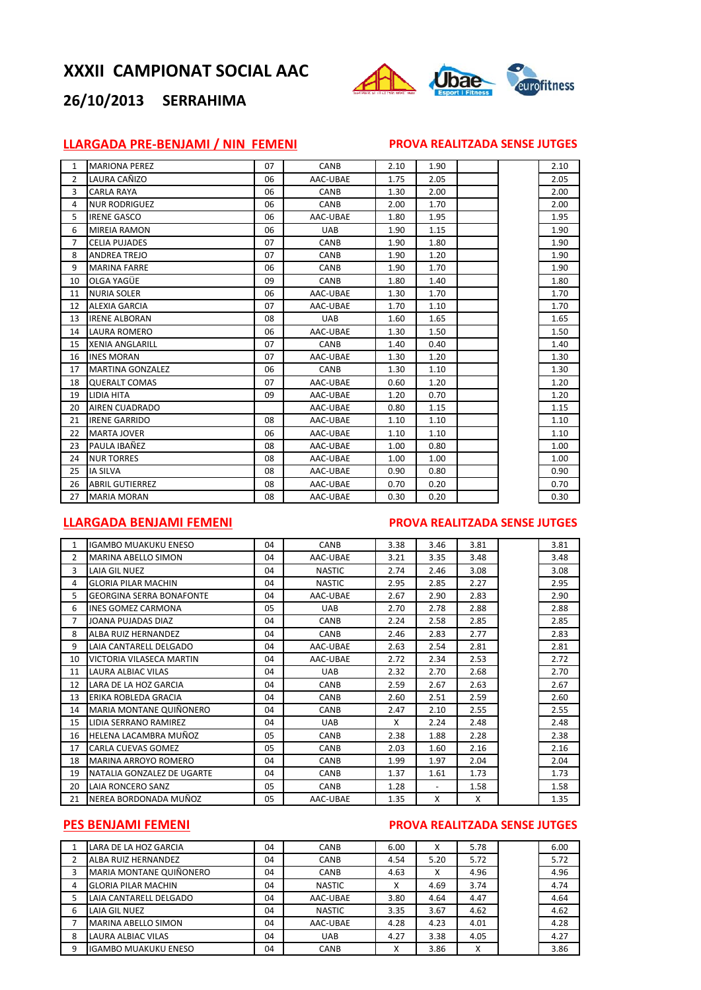

## **26/10/2013 SERRAHIMA**

## **LLARGADA PRE‐BENJAMI / NIN FEMENI PROVA REALITZADA SENSE JUTGES**

| 1  | <b>MARIONA PEREZ</b>    | 07 | <b>CANB</b> | 2.10 | 1.90 |  | 2.10 |
|----|-------------------------|----|-------------|------|------|--|------|
| 2  | LAURA CAÑIZO            | 06 | AAC-UBAE    | 1.75 | 2.05 |  | 2.05 |
| 3  | <b>CARLA RAYA</b>       | 06 | CANB        | 1.30 | 2.00 |  | 2.00 |
| 4  | <b>NUR RODRIGUEZ</b>    | 06 | CANB        | 2.00 | 1.70 |  | 2.00 |
| 5  | <b>IRENE GASCO</b>      | 06 | AAC-UBAE    | 1.80 | 1.95 |  | 1.95 |
| 6  | <b>MIREIA RAMON</b>     | 06 | <b>UAB</b>  | 1.90 | 1.15 |  | 1.90 |
| 7  | <b>CELIA PUJADES</b>    | 07 | <b>CANB</b> | 1.90 | 1.80 |  | 1.90 |
| 8  | <b>ANDREA TREJO</b>     | 07 | CANB        | 1.90 | 1.20 |  | 1.90 |
| 9  | <b>MARINA FARRE</b>     | 06 | CANB        | 1.90 | 1.70 |  | 1.90 |
| 10 | OLGA YAGÜE              | 09 | CANB        | 1.80 | 1.40 |  | 1.80 |
| 11 | <b>NURIA SOLER</b>      | 06 | AAC-UBAE    | 1.30 | 1.70 |  | 1.70 |
| 12 | <b>ALEXIA GARCIA</b>    | 07 | AAC-UBAE    | 1.70 | 1.10 |  | 1.70 |
| 13 | <b>IRENE ALBORAN</b>    | 08 | <b>UAB</b>  | 1.60 | 1.65 |  | 1.65 |
| 14 | <b>LAURA ROMERO</b>     | 06 | AAC-UBAE    | 1.30 | 1.50 |  | 1.50 |
| 15 | <b>XENIA ANGLARILL</b>  | 07 | CANB        | 1.40 | 0.40 |  | 1.40 |
| 16 | <b>INES MORAN</b>       | 07 | AAC-UBAE    | 1.30 | 1.20 |  | 1.30 |
| 17 | <b>MARTINA GONZALEZ</b> | 06 | CANB        | 1.30 | 1.10 |  | 1.30 |
| 18 | <b>QUERALT COMAS</b>    | 07 | AAC-UBAE    | 0.60 | 1.20 |  | 1.20 |
| 19 | <b>LIDIA HITA</b>       | 09 | AAC-UBAE    | 1.20 | 0.70 |  | 1.20 |
| 20 | <b>AIREN CUADRADO</b>   |    | AAC-UBAE    | 0.80 | 1.15 |  | 1.15 |
| 21 | <b>IRENE GARRIDO</b>    | 08 | AAC-UBAE    | 1.10 | 1.10 |  | 1.10 |
| 22 | <b>MARTA JOVER</b>      | 06 | AAC-UBAE    | 1.10 | 1.10 |  | 1.10 |
| 23 | PAULA IBAÑEZ            | 08 | AAC-UBAE    | 1.00 | 0.80 |  | 1.00 |
| 24 | <b>NUR TORRES</b>       | 08 | AAC-UBAE    | 1.00 | 1.00 |  | 1.00 |
| 25 | <b>IA SILVA</b>         | 08 | AAC-UBAE    | 0.90 | 0.80 |  | 0.90 |
| 26 | <b>ABRIL GUTIERREZ</b>  | 08 | AAC-UBAE    | 0.70 | 0.20 |  | 0.70 |
| 27 | <b>MARIA MORAN</b>      | 08 | AAC-UBAE    | 0.30 | 0.20 |  | 0.30 |
|    |                         |    |             |      |      |  |      |

#### **LLARGADA BENJAMI FEMENI PROVA REALITZADA SENSE JUTGES**

| $\mathbf{1}$ | <b>IGAMBO MUAKUKU ENESO</b>     | 04  | CANB          | 3.38 | 3.46                     | 3.81 | 3.81 |
|--------------|---------------------------------|-----|---------------|------|--------------------------|------|------|
| 2            | MARINA ABELLO SIMON             | 04  | AAC-UBAE      | 3.21 | 3.35                     | 3.48 | 3.48 |
| 3            | LAIA GIL NUEZ                   | 04  | <b>NASTIC</b> | 2.74 | 2.46                     | 3.08 | 3.08 |
| 4            | <b>GLORIA PILAR MACHIN</b>      | 04  | <b>NASTIC</b> | 2.95 | 2.85                     | 2.27 | 2.95 |
| 5            | <b>GEORGINA SERRA BONAFONTE</b> | 04  | AAC-UBAE      | 2.67 | 2.90                     | 2.83 | 2.90 |
| 6            | <b>INES GOMEZ CARMONA</b>       | 05  | <b>UAB</b>    | 2.70 | 2.78                     | 2.88 | 2.88 |
| 7            | JOANA PUJADAS DIAZ              | 04  | CANB          | 2.24 | 2.58                     | 2.85 | 2.85 |
| 8            | ALBA RUIZ HERNANDEZ             | 04  | <b>CANB</b>   | 2.46 | 2.83                     | 2.77 | 2.83 |
| 9            | LAIA CANTARELL DELGADO          | 04  | AAC-UBAE      | 2.63 | 2.54                     | 2.81 | 2.81 |
| 10           | VICTORIA VILASECA MARTIN        | 04  | AAC-UBAE      | 2.72 | 2.34                     | 2.53 | 2.72 |
| 11           | LAURA ALBIAC VILAS              | 04  | <b>UAB</b>    | 2.32 | 2.70                     | 2.68 | 2.70 |
| 12           | LARA DE LA HOZ GARCIA           | 04  | CANB          | 2.59 | 2.67                     | 2.63 | 2.67 |
| 13           | ERIKA ROBLEDA GRACIA            | 04  | CANB          | 2.60 | 2.51                     | 2.59 | 2.60 |
| 14           | MARIA MONTANE QUIÑONERO         | 04  | CANB          | 2.47 | 2.10                     | 2.55 | 2.55 |
| 15           | LIDIA SERRANO RAMIREZ           | 04  | <b>UAB</b>    | X    | 2.24                     | 2.48 | 2.48 |
| 16           | HELENA LACAMBRA MUÑOZ           | 05  | CANB          | 2.38 | 1.88                     | 2.28 | 2.38 |
| 17           | CARLA CUEVAS GOMEZ              | 0.5 | CANB          | 2.03 | 1.60                     | 2.16 | 2.16 |
| 18           | MARINA ARROYO ROMERO            | 04  | <b>CANB</b>   | 1.99 | 1.97                     | 2.04 | 2.04 |
| 19           | NATALIA GONZALEZ DE UGARTE      | 04  | CANB          | 1.37 | 1.61                     | 1.73 | 1.73 |
| 20           | LAIA RONCERO SANZ               | 05  | CANB          | 1.28 | $\overline{\phantom{a}}$ | 1.58 | 1.58 |
| 21           | NEREA BORDONADA MUÑOZ           | 05  | AAC-UBAE      | 1.35 | X                        | X    | 1.35 |

## **PES BENJAMI FEMENI PROVA REALITZADA SENSE JUTGES**

|   | LARA DE LA HOZ GARCIA       | 04 | CANB          | 6.00 | X    | 5.78 | 6.00 |
|---|-----------------------------|----|---------------|------|------|------|------|
|   | ALBA RUIZ HERNANDEZ         | 04 | <b>CANB</b>   | 4.54 | 5.20 | 5.72 | 5.72 |
| 3 | MARIA MONTANE QUIÑONERO     | 04 | CANB          | 4.63 | X    | 4.96 | 4.96 |
| 4 | <b>GLORIA PILAR MACHIN</b>  | 04 | <b>NASTIC</b> | Χ    | 4.69 | 3.74 | 4.74 |
| 5 | LAIA CANTARELL DELGADO      | 04 | AAC-UBAE      | 3.80 | 4.64 | 4.47 | 4.64 |
| 6 | LAIA GIL NUEZ               | 04 | <b>NASTIC</b> | 3.35 | 3.67 | 4.62 | 4.62 |
|   | MARINA ABELLO SIMON         | 04 | AAC-UBAE      | 4.28 | 4.23 | 4.01 | 4.28 |
| 8 | LAURA ALBIAC VILAS          | 04 | <b>UAB</b>    | 4.27 | 3.38 | 4.05 | 4.27 |
| 9 | <b>IGAMBO MUAKUKU ENESO</b> | 04 | CANB          | X    | 3.86 | x    | 3.86 |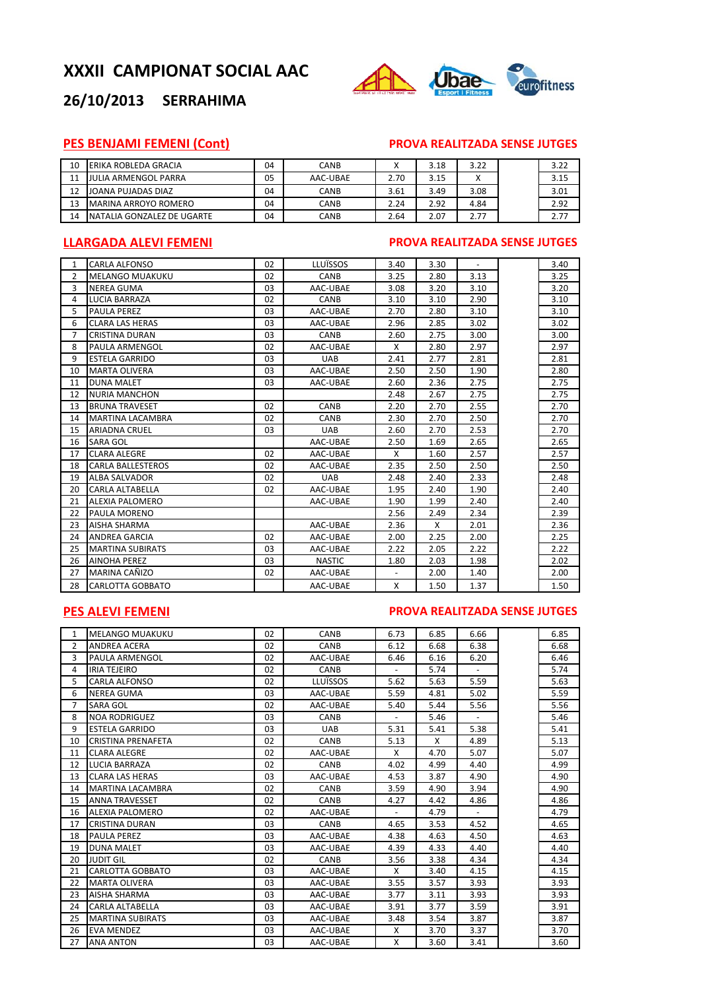

## **26/10/2013 SERRAHIMA**

## **PES BENJAMI FEMENI (Cont) PROVA REALITZADA SENSE JUTGES**

| 10 | <b>LERIKA ROBLEDA GRACIA</b> | 04 | CANB        | ↗    | 3.18 | 3.22 | 3.22 |
|----|------------------------------|----|-------------|------|------|------|------|
| 11 | <b>JULIA ARMENGOL PARRA</b>  | 05 | AAC-UBAE    | 2.70 | 3.15 |      | 3.15 |
| 12 | JOANA PUJADAS DIAZ           | 04 | <b>CANB</b> | 3.61 | 3.49 | 3.08 | 3.01 |
| 13 | <b>MARINA ARROYO ROMERO</b>  | 04 | CANB        | 2.24 | 2.92 | 4.84 | 2.92 |
| 14 | INATALIA GONZALEZ DE UGARTE  | 04 | CANB        | 2.64 | 2.07 | 2.77 | 2.77 |

#### **LLARGADA ALEVI FEMENI PROVA REALITZADA SENSE JUTGES**

| $\mathbf{1}$ | <b>CARLA ALFONSO</b>     | 02 | LLUÏSSOS      | 3.40 | 3.30 | $\blacksquare$ | 3.40 |
|--------------|--------------------------|----|---------------|------|------|----------------|------|
| 2            | <b>MELANGO MUAKUKU</b>   | 02 | CANB          | 3.25 | 2.80 | 3.13           | 3.25 |
| 3            | <b>NEREA GUMA</b>        | 03 | AAC-UBAE      | 3.08 | 3.20 | 3.10           | 3.20 |
| 4            | <b>LUCIA BARRAZA</b>     | 02 | CANB          | 3.10 | 3.10 | 2.90           | 3.10 |
| 5            | <b>PAULA PEREZ</b>       | 03 | AAC-UBAE      | 2.70 | 2.80 | 3.10           | 3.10 |
| 6            | <b>CLARA LAS HERAS</b>   | 03 | AAC-UBAE      | 2.96 | 2.85 | 3.02           | 3.02 |
| 7            | CRISTINA DURAN           | 03 | CANB          | 2.60 | 2.75 | 3.00           | 3.00 |
| 8            | PAULA ARMENGOL           | 02 | AAC-UBAE      | X    | 2.80 | 2.97           | 2.97 |
| 9            | <b>ESTELA GARRIDO</b>    | 03 | <b>UAB</b>    | 2.41 | 2.77 | 2.81           | 2.81 |
| 10           | <b>MARTA OLIVERA</b>     | 03 | AAC-UBAE      | 2.50 | 2.50 | 1.90           | 2.80 |
| 11           | <b>DUNA MALET</b>        | 03 | AAC-UBAE      | 2.60 | 2.36 | 2.75           | 2.75 |
| 12           | <b>NURIA MANCHON</b>     |    |               | 2.48 | 2.67 | 2.75           | 2.75 |
| 13           | <b>BRUNA TRAVESET</b>    | 02 | CANB          | 2.20 | 2.70 | 2.55           | 2.70 |
| 14           | <b>MARTINA LACAMBRA</b>  | 02 | CANB          | 2.30 | 2.70 | 2.50           | 2.70 |
| 15           | <b>ARIADNA CRUEL</b>     | 03 | <b>UAB</b>    | 2.60 | 2.70 | 2.53           | 2.70 |
| 16           | <b>SARA GOL</b>          |    | AAC-UBAE      | 2.50 | 1.69 | 2.65           | 2.65 |
| 17           | <b>CLARA ALEGRE</b>      | 02 | AAC-UBAE      | X    | 1.60 | 2.57           | 2.57 |
| 18           | <b>CARLA BALLESTEROS</b> | 02 | AAC-UBAE      | 2.35 | 2.50 | 2.50           | 2.50 |
| 19           | <b>ALBA SALVADOR</b>     | 02 | <b>UAB</b>    | 2.48 | 2.40 | 2.33           | 2.48 |
| 20           | CARLA ALTABELLA          | 02 | AAC-UBAE      | 1.95 | 2.40 | 1.90           | 2.40 |
| 21           | <b>ALEXIA PALOMERO</b>   |    | AAC-UBAE      | 1.90 | 1.99 | 2.40           | 2.40 |
| 22           | <b>PAULA MORENO</b>      |    |               | 2.56 | 2.49 | 2.34           | 2.39 |
| 23           | <b>AISHA SHARMA</b>      |    | AAC-UBAE      | 2.36 | X    | 2.01           | 2.36 |
| 24           | <b>ANDREA GARCIA</b>     | 02 | AAC-UBAE      | 2.00 | 2.25 | 2.00           | 2.25 |
| 25           | <b>MARTINA SUBIRATS</b>  | 03 | AAC-UBAE      | 2.22 | 2.05 | 2.22           | 2.22 |
| 26           | <b>AINOHA PEREZ</b>      | 03 | <b>NASTIC</b> | 1.80 | 2.03 | 1.98           | 2.02 |
| 27           | MARINA CAÑIZO            | 02 | AAC-UBAE      |      | 2.00 | 1.40           | 2.00 |
| 28           | CARLOTTA GOBBATO         |    | AAC-UBAE      | X    | 1.50 | 1.37           | 1.50 |

### **PES ALEVI FEMENI PROVA REALITZADA SENSE JUTGES**

| $\mathbf{1}$ | <b>MELANGO MUAKUKU</b>    | 02 | CANB        | 6.73                     | 6.85 | 6.66           | 6.85 |
|--------------|---------------------------|----|-------------|--------------------------|------|----------------|------|
| 2            | <b>ANDREA ACERA</b>       | 02 | CANB        | 6.12                     | 6.68 | 6.38           | 6.68 |
| 3            | PAULA ARMENGOL            | 02 | AAC-UBAE    | 6.46                     | 6.16 | 6.20           | 6.46 |
| 4            | <b>IRIA TEJEIRO</b>       | 02 | <b>CANB</b> |                          | 5.74 |                | 5.74 |
| 5            | <b>CARLA ALFONSO</b>      | 02 | LLUÏSSOS    | 5.62                     | 5.63 | 5.59           | 5.63 |
| 6            | <b>NEREA GUMA</b>         | 03 | AAC-UBAE    | 5.59                     | 4.81 | 5.02           | 5.59 |
| 7            | <b>SARA GOL</b>           | 02 | AAC-UBAE    | 5.40                     | 5.44 | 5.56           | 5.56 |
| 8            | <b>NOA RODRIGUEZ</b>      | 03 | <b>CANB</b> |                          | 5.46 |                | 5.46 |
| 9            | <b>ESTELA GARRIDO</b>     | 03 | <b>UAB</b>  | 5.31                     | 5.41 | 5.38           | 5.41 |
| 10           | <b>CRISTINA PRENAFETA</b> | 02 | CANB        | 5.13                     | X    | 4.89           | 5.13 |
| 11           | <b>CLARA ALEGRE</b>       | 02 | AAC-UBAE    | X                        | 4.70 | 5.07           | 5.07 |
| 12           | <b>LUCIA BARRAZA</b>      | 02 | CANB        | 4.02                     | 4.99 | 4.40           | 4.99 |
| 13           | <b>CLARA LAS HERAS</b>    | 03 | AAC-UBAE    | 4.53                     | 3.87 | 4.90           | 4.90 |
| 14           | <b>MARTINA LACAMBRA</b>   | 02 | CANB        | 3.59                     | 4.90 | 3.94           | 4.90 |
| 15           | <b>ANNA TRAVESSET</b>     | 02 | CANB        | 4.27                     | 4.42 | 4.86           | 4.86 |
| 16           | <b>ALEXIA PALOMERO</b>    | 02 | AAC-UBAE    | $\overline{\phantom{a}}$ | 4.79 | $\blacksquare$ | 4.79 |
| 17           | <b>CRISTINA DURAN</b>     | 03 | CANB        | 4.65                     | 3.53 | 4.52           | 4.65 |
| 18           | <b>PAULA PEREZ</b>        | 03 | AAC-UBAE    | 4.38                     | 4.63 | 4.50           | 4.63 |
| 19           | <b>DUNA MALET</b>         | 03 | AAC-UBAE    | 4.39                     | 4.33 | 4.40           | 4.40 |
| 20           | <b>JUDIT GIL</b>          | 02 | CANB        | 3.56                     | 3.38 | 4.34           | 4.34 |
| 21           | CARLOTTA GOBBATO          | 03 | AAC-UBAE    | X                        | 3.40 | 4.15           | 4.15 |
| 22           | <b>MARTA OLIVERA</b>      | 03 | AAC-UBAE    | 3.55                     | 3.57 | 3.93           | 3.93 |
| 23           | AISHA SHARMA              | 03 | AAC-UBAE    | 3.77                     | 3.11 | 3.93           | 3.93 |
| 24           | CARLA ALTABELLA           | 03 | AAC-UBAE    | 3.91                     | 3.77 | 3.59           | 3.91 |
| 25           | <b>MARTINA SUBIRATS</b>   | 03 | AAC-UBAE    | 3.48                     | 3.54 | 3.87           | 3.87 |
| 26           | <b>EVA MENDEZ</b>         | 03 | AAC-UBAE    | X                        | 3.70 | 3.37           | 3.70 |
| 27           | <b>ANA ANTON</b>          | 03 | AAC-UBAE    | X                        | 3.60 | 3.41           | 3.60 |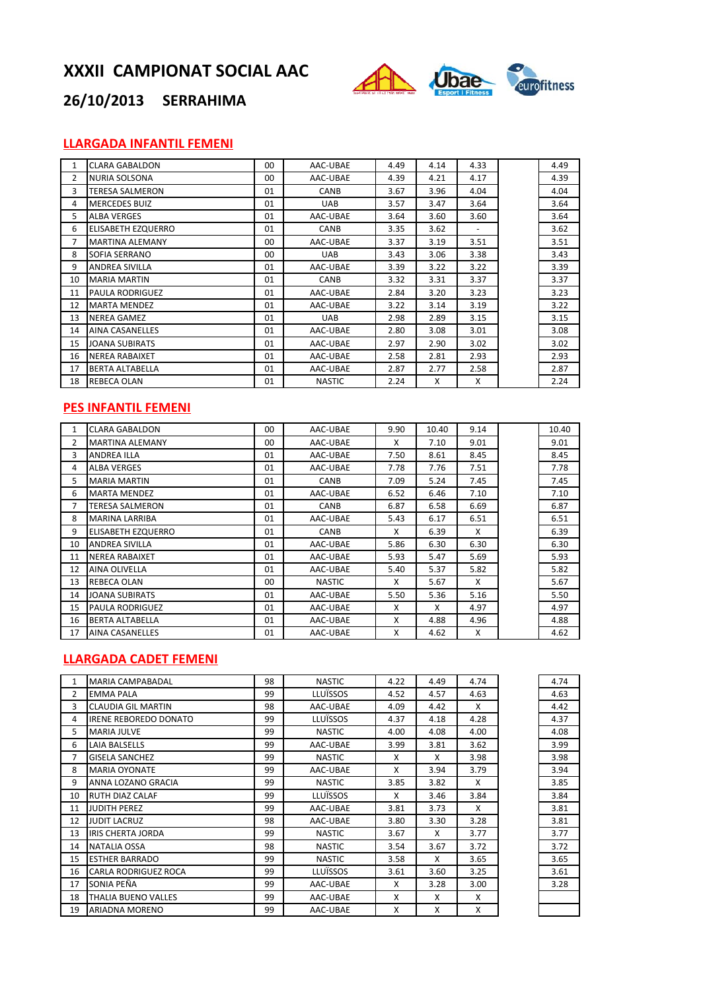

# **26/10/2013 SERRAHIMA**

## **LLARGADA INFANTIL FEMENI**

| $\mathbf{1}$ | <b>CLARA GABALDON</b>     | 00 | AAC-UBAE      | 4.49 | 4.14 | 4.33 | 4.49 |
|--------------|---------------------------|----|---------------|------|------|------|------|
| 2            | <b>NURIA SOLSONA</b>      | 00 | AAC-UBAE      | 4.39 | 4.21 | 4.17 | 4.39 |
| 3            | <b>TERESA SALMERON</b>    | 01 | CANB          | 3.67 | 3.96 | 4.04 | 4.04 |
| 4            | <b>MERCEDES BUIZ</b>      | 01 | <b>UAB</b>    | 3.57 | 3.47 | 3.64 | 3.64 |
| 5            | <b>ALBA VERGES</b>        | 01 | AAC-UBAE      | 3.64 | 3.60 | 3.60 | 3.64 |
| 6            | <b>ELISABETH EZQUERRO</b> | 01 | CANB          | 3.35 | 3.62 |      | 3.62 |
| 7            | <b>MARTINA ALEMANY</b>    | 00 | AAC-UBAE      | 3.37 | 3.19 | 3.51 | 3.51 |
| 8            | <b>SOFIA SERRANO</b>      | 00 | <b>UAB</b>    | 3.43 | 3.06 | 3.38 | 3.43 |
| 9            | <b>ANDREA SIVILLA</b>     | 01 | AAC-UBAE      | 3.39 | 3.22 | 3.22 | 3.39 |
| 10           | <b>MARIA MARTIN</b>       | 01 | CANB          | 3.32 | 3.31 | 3.37 | 3.37 |
| 11           | <b>PAULA RODRIGUEZ</b>    | 01 | AAC-UBAE      | 2.84 | 3.20 | 3.23 | 3.23 |
| 12           | <b>MARTA MENDEZ</b>       | 01 | AAC-UBAE      | 3.22 | 3.14 | 3.19 | 3.22 |
| 13           | <b>NEREA GAMEZ</b>        | 01 | <b>UAB</b>    | 2.98 | 2.89 | 3.15 | 3.15 |
| 14           | <b>AINA CASANELLES</b>    | 01 | AAC-UBAE      | 2.80 | 3.08 | 3.01 | 3.08 |
| 15           | <b>JOANA SUBIRATS</b>     | 01 | AAC-UBAE      | 2.97 | 2.90 | 3.02 | 3.02 |
| 16           | <b>NEREA RABAIXET</b>     | 01 | AAC-UBAE      | 2.58 | 2.81 | 2.93 | 2.93 |
| 17           | <b>BERTA ALTABELLA</b>    | 01 | AAC-UBAE      | 2.87 | 2.77 | 2.58 | 2.87 |
| 18           | <b>REBECA OLAN</b>        | 01 | <b>NASTIC</b> | 2.24 | X    | X    | 2.24 |

## **PES INFANTIL FEMENI**

| 1  | <b>CLARA GABALDON</b>     | $00 \,$ | AAC-UBAE      | 9.90 | 10.40 | 9.14 | 10.40 |
|----|---------------------------|---------|---------------|------|-------|------|-------|
| 2  | <b>MARTINA ALEMANY</b>    | 00      | AAC-UBAE      | X    | 7.10  | 9.01 | 9.01  |
| 3  | <b>ANDREA ILLA</b>        | 01      | AAC-UBAE      | 7.50 | 8.61  | 8.45 | 8.45  |
| 4  | <b>ALBA VERGES</b>        | 01      | AAC-UBAE      | 7.78 | 7.76  | 7.51 | 7.78  |
| 5  | <b>MARIA MARTIN</b>       | 01      | <b>CANB</b>   | 7.09 | 5.24  | 7.45 | 7.45  |
| 6  | <b>MARTA MENDEZ</b>       | 01      | AAC-UBAE      | 6.52 | 6.46  | 7.10 | 7.10  |
| 7  | TERESA SALMERON           | 01      | CANB          | 6.87 | 6.58  | 6.69 | 6.87  |
| 8  | <b>MARINA LARRIBA</b>     | 01      | AAC-UBAE      | 5.43 | 6.17  | 6.51 | 6.51  |
| 9  | <b>ELISABETH EZQUERRO</b> | 01      | <b>CANB</b>   | X    | 6.39  | X    | 6.39  |
| 10 | <b>ANDREA SIVILLA</b>     | 01      | AAC-UBAE      | 5.86 | 6.30  | 6.30 | 6.30  |
| 11 | <b>NEREA RABAIXET</b>     | 01      | AAC-UBAE      | 5.93 | 5.47  | 5.69 | 5.93  |
| 12 | <b>AINA OLIVELLA</b>      | 01      | AAC-UBAE      | 5.40 | 5.37  | 5.82 | 5.82  |
| 13 | <b>REBECA OLAN</b>        | 00      | <b>NASTIC</b> | X    | 5.67  | X    | 5.67  |
| 14 | <b>JOANA SUBIRATS</b>     | 01      | AAC-UBAE      | 5.50 | 5.36  | 5.16 | 5.50  |
| 15 | <b>PAULA RODRIGUEZ</b>    | 01      | AAC-UBAE      | X    | X     | 4.97 | 4.97  |
| 16 | <b>BERTA ALTABELLA</b>    | 01      | AAC-UBAE      | x    | 4.88  | 4.96 | 4.88  |
| 17 | <b>AINA CASANELLES</b>    | 01      | AAC-UBAE      | x    | 4.62  | X    | 4.62  |

### **LLARGADA CADET FEMENI**

| 1              | MARIA CAMPABADAL             | 98 | <b>NASTIC</b>   | 4.22 | 4.49 | 4.74 | 4.74 |
|----------------|------------------------------|----|-----------------|------|------|------|------|
| $\overline{2}$ | <b>EMMA PALA</b>             | 99 | <b>LLUÏSSOS</b> | 4.52 | 4.57 | 4.63 | 4.63 |
| 3              | <b>CLAUDIA GIL MARTIN</b>    | 98 | AAC-UBAE        | 4.09 | 4.42 | X    | 4.42 |
| 4              | <b>IRENE REBOREDO DONATO</b> | 99 | <b>LLUÏSSOS</b> | 4.37 | 4.18 | 4.28 | 4.37 |
| 5              | <b>MARIA JULVE</b>           | 99 | <b>NASTIC</b>   | 4.00 | 4.08 | 4.00 | 4.08 |
| 6              | LAIA BALSELLS                | 99 | AAC-UBAE        | 3.99 | 3.81 | 3.62 | 3.99 |
| 7              | <b>GISELA SANCHEZ</b>        | 99 | <b>NASTIC</b>   | X    | X    | 3.98 | 3.98 |
| 8              | <b>MARIA OYONATE</b>         | 99 | AAC-UBAE        | X    | 3.94 | 3.79 | 3.94 |
| 9              | ANNA LOZANO GRACIA           | 99 | <b>NASTIC</b>   | 3.85 | 3.82 | X    | 3.85 |
| 10             | <b>RUTH DIAZ CALAF</b>       | 99 | <b>LLUÏSSOS</b> | X    | 3.46 | 3.84 | 3.84 |
| 11             | <b>JUDITH PEREZ</b>          | 99 | AAC-UBAE        | 3.81 | 3.73 | X    | 3.81 |
| 12             | <b>JUDIT LACRUZ</b>          | 98 | AAC-UBAE        | 3.80 | 3.30 | 3.28 | 3.81 |
| 13             | <b>IRIS CHERTA JORDA</b>     | 99 | <b>NASTIC</b>   | 3.67 | X    | 3.77 | 3.77 |
| 14             | <b>NATALIA OSSA</b>          | 98 | <b>NASTIC</b>   | 3.54 | 3.67 | 3.72 | 3.72 |
| 15             | <b>ESTHER BARRADO</b>        | 99 | <b>NASTIC</b>   | 3.58 | X    | 3.65 | 3.65 |
| 16             | CARLA RODRIGUEZ ROCA         | 99 | <b>LLUÏSSOS</b> | 3.61 | 3.60 | 3.25 | 3.61 |
| 17             | SONIA PEÑA                   | 99 | AAC-UBAE        | X    | 3.28 | 3.00 | 3.28 |
| 18             | THALIA BUENO VALLES          | 99 | AAC-UBAE        | X    | X    | X    |      |
| 19             | ARIADNA MORENO               | 99 | AAC-UBAE        | X    | X    | X    |      |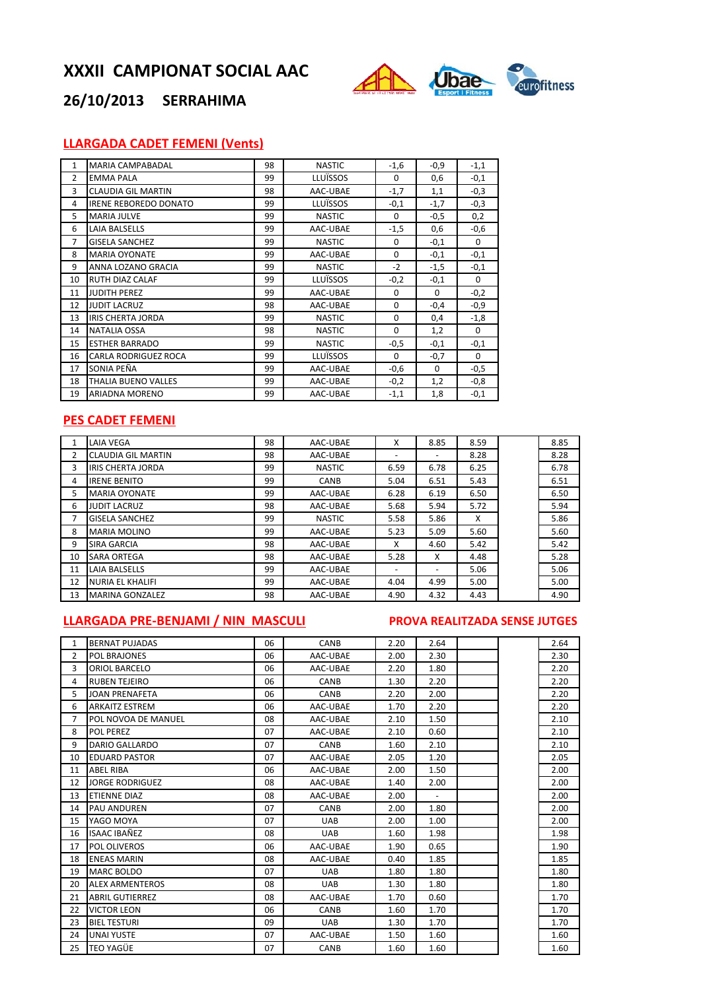

# **26/10/2013 SERRAHIMA**

## **LLARGADA CADET FEMENI (Vents)**

| $\mathbf{1}$   | <b>MARIA CAMPABADAL</b>      | 98 | <b>NASTIC</b> | $-1,6$      | $-0,9$      | $-1,1$      |
|----------------|------------------------------|----|---------------|-------------|-------------|-------------|
| $\overline{2}$ | <b>EMMA PALA</b>             | 99 | LLUÏSSOS      | 0           | 0,6         | $-0,1$      |
| 3              | <b>CLAUDIA GIL MARTIN</b>    | 98 | AAC-UBAE      | $-1,7$      | 1,1         | $-0,3$      |
| 4              | <b>IRENE REBOREDO DONATO</b> | 99 | LLUÏSSOS      | $-0,1$      | $-1,7$      | $-0,3$      |
| 5              | <b>MARIA JULVE</b>           | 99 | <b>NASTIC</b> | $\Omega$    | $-0,5$      | 0,2         |
| 6              | <b>LAIA BALSELLS</b>         | 99 | AAC-UBAE      | $-1,5$      | 0,6         | $-0,6$      |
| $\overline{7}$ | <b>GISELA SANCHEZ</b>        | 99 | <b>NASTIC</b> | $\Omega$    | $-0,1$      | 0           |
| 8              | <b>MARIA OYONATE</b>         | 99 | AAC-UBAE      | $\mathbf 0$ | $-0,1$      | $-0,1$      |
| 9              | ANNA LOZANO GRACIA           | 99 | <b>NASTIC</b> | $-2$        | $-1,5$      | $-0,1$      |
| 10             | <b>RUTH DIAZ CALAF</b>       | 99 | LLUÏSSOS      | $-0,2$      | $-0,1$      | 0           |
| 11             | <b>JUDITH PEREZ</b>          | 99 | AAC-UBAE      | 0           | 0           | $-0,2$      |
| 12             | <b>JUDIT LACRUZ</b>          | 98 | AAC-UBAE      | 0           | $-0,4$      | $-0,9$      |
| 13             | <b>IRIS CHERTA JORDA</b>     | 99 | <b>NASTIC</b> | $\mathbf 0$ | 0,4         | $-1,8$      |
| 14             | <b>NATALIA OSSA</b>          | 98 | <b>NASTIC</b> | $\mathbf 0$ | 1,2         | 0           |
| 15             | <b>ESTHER BARRADO</b>        | 99 | <b>NASTIC</b> | $-0,5$      | $-0,1$      | $-0,1$      |
| 16             | <b>CARLA RODRIGUEZ ROCA</b>  | 99 | LLUÏSSOS      | $\Omega$    | $-0,7$      | $\mathbf 0$ |
| 17             | SONIA PEÑA                   | 99 | AAC-UBAE      | $-0,6$      | $\mathbf 0$ | $-0,5$      |
| 18             | THALIA BUENO VALLES          | 99 | AAC-UBAE      | $-0,2$      | 1,2         | $-0,8$      |
| 19             | <b>ARIADNA MORENO</b>        | 99 | AAC-UBAE      | $-1,1$      | 1,8         | $-0,1$      |
|                |                              |    |               |             |             |             |

## **PES CADET FEMENI**

|                | <b>LAIA VEGA</b>          | 98 | AAC-UBAE      | X                        | 8.85 | 8.59 | 8.85 |
|----------------|---------------------------|----|---------------|--------------------------|------|------|------|
| 2              | <b>CLAUDIA GIL MARTIN</b> | 98 | AAC-UBAE      | ۰                        |      | 8.28 | 8.28 |
| 3              | <b>IRIS CHERTA JORDA</b>  | 99 | <b>NASTIC</b> | 6.59                     | 6.78 | 6.25 | 6.78 |
| 4              | <b>IRENE BENITO</b>       | 99 | CANB          | 5.04                     | 6.51 | 5.43 | 6.51 |
| 5.             | <b>MARIA OYONATE</b>      | 99 | AAC-UBAE      | 6.28                     | 6.19 | 6.50 | 6.50 |
| 6              | <b>JUDIT LACRUZ</b>       | 98 | AAC-UBAE      | 5.68                     | 5.94 | 5.72 | 5.94 |
| $\overline{7}$ | <b>GISELA SANCHEZ</b>     | 99 | <b>NASTIC</b> | 5.58                     | 5.86 | X    | 5.86 |
| 8              | <b>MARIA MOLINO</b>       | 99 | AAC-UBAE      | 5.23                     | 5.09 | 5.60 | 5.60 |
| 9              | <b>SIRA GARCIA</b>        | 98 | AAC-UBAE      | X                        | 4.60 | 5.42 | 5.42 |
| 10             | <b>SARA ORTEGA</b>        | 98 | AAC-UBAE      | 5.28                     | X    | 4.48 | 5.28 |
| 11             | <b>LAIA BALSELLS</b>      | 99 | AAC-UBAE      | $\overline{\phantom{a}}$ |      | 5.06 | 5.06 |
| 12             | <b>NURIA EL KHALIFI</b>   | 99 | AAC-UBAE      | 4.04                     | 4.99 | 5.00 | 5.00 |
| 13             | <b>MARINA GONZALEZ</b>    | 98 | AAC-UBAE      | 4.90                     | 4.32 | 4.43 | 4.90 |

## **LLARGADA PRE‐BENJAMI / NIN MASCULI PROVA REALITZADA SENSE JUTGES**

| 1              | <b>BERNAT PUJADAS</b>  | 06 | CANB        | 2.20 | 2.64           |  | 2.64 |
|----------------|------------------------|----|-------------|------|----------------|--|------|
| $\overline{2}$ | POL BRAJONES           | 06 | AAC-UBAE    | 2.00 | 2.30           |  | 2.30 |
| 3              | <b>ORIOL BARCELO</b>   | 06 | AAC-UBAE    | 2.20 | 1.80           |  | 2.20 |
| 4              | <b>RUBEN TEJEIRO</b>   | 06 | CANB        | 1.30 | 2.20           |  | 2.20 |
| 5              | <b>JOAN PRENAFETA</b>  | 06 | CANB        | 2.20 | 2.00           |  | 2.20 |
| 6              | <b>ARKAITZ ESTREM</b>  | 06 | AAC-UBAE    | 1.70 | 2.20           |  | 2.20 |
| 7              | POL NOVOA DE MANUEL    | 08 | AAC-UBAE    | 2.10 | 1.50           |  | 2.10 |
| 8              | <b>POL PEREZ</b>       | 07 | AAC-UBAE    | 2.10 | 0.60           |  | 2.10 |
| 9              | DARIO GALLARDO         | 07 | <b>CANB</b> | 1.60 | 2.10           |  | 2.10 |
| 10             | <b>EDUARD PASTOR</b>   | 07 | AAC-UBAE    | 2.05 | 1.20           |  | 2.05 |
| 11             | <b>ABEL RIBA</b>       | 06 | AAC-UBAE    | 2.00 | 1.50           |  | 2.00 |
| 12             | <b>JORGE RODRIGUEZ</b> | 08 | AAC-UBAE    | 1.40 | 2.00           |  | 2.00 |
| 13             | <b>ETIENNE DIAZ</b>    | 08 | AAC-UBAE    | 2.00 | $\blacksquare$ |  | 2.00 |
| 14             | <b>PAU ANDUREN</b>     | 07 | CANB        | 2.00 | 1.80           |  | 2.00 |
| 15             | YAGO MOYA              | 07 | <b>UAB</b>  | 2.00 | 1.00           |  | 2.00 |
| 16             | ISAAC IBAÑEZ           | 08 | <b>UAB</b>  | 1.60 | 1.98           |  | 1.98 |
| 17             | <b>POL OLIVEROS</b>    | 06 | AAC-UBAE    | 1.90 | 0.65           |  | 1.90 |
| 18             | <b>ENEAS MARIN</b>     | 08 | AAC-UBAE    | 0.40 | 1.85           |  | 1.85 |
| 19             | <b>MARC BOLDO</b>      | 07 | <b>UAB</b>  | 1.80 | 1.80           |  | 1.80 |
| 20             | <b>ALEX ARMENTEROS</b> | 08 | <b>UAB</b>  | 1.30 | 1.80           |  | 1.80 |
| 21             | <b>ABRIL GUTIERREZ</b> | 08 | AAC-UBAE    | 1.70 | 0.60           |  | 1.70 |
| 22             | <b>VICTOR LEON</b>     | 06 | <b>CANB</b> | 1.60 | 1.70           |  | 1.70 |
| 23             | <b>BIEL TESTURI</b>    | 09 | <b>UAB</b>  | 1.30 | 1.70           |  | 1.70 |
| 24             | <b>UNAI YUSTE</b>      | 07 | AAC-UBAE    | 1.50 | 1.60           |  | 1.60 |
| 25             | <b>TEO YAGÜE</b>       | 07 | CANB        | 1.60 | 1.60           |  | 1.60 |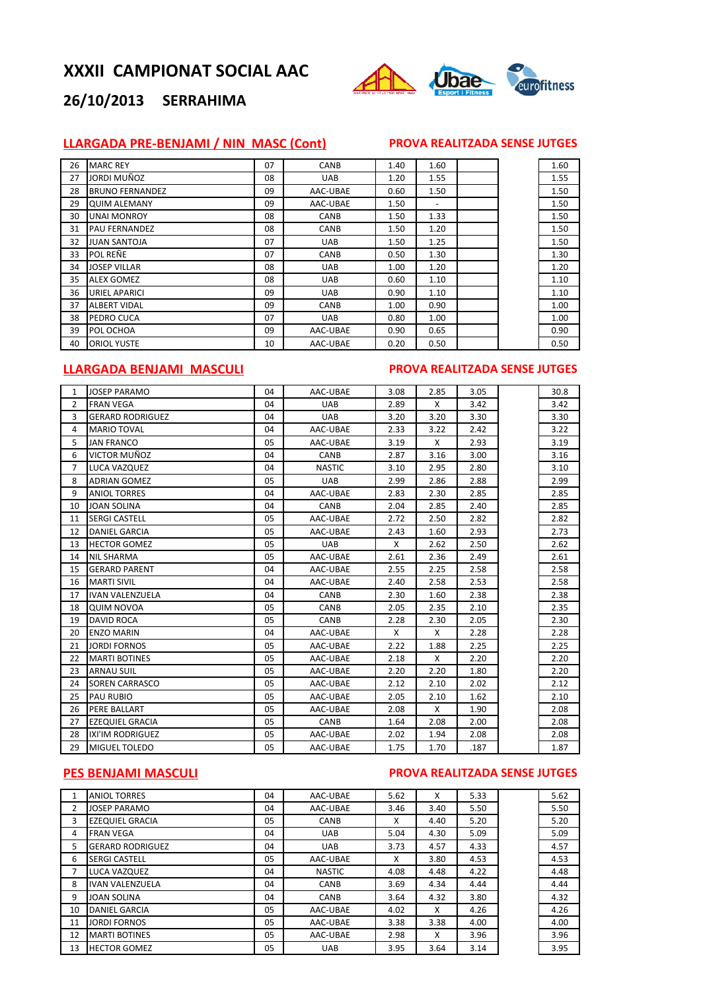

# **26/10/2013 SERRAHIMA**

## **LLARGADA PRE‐BENJAMI / NIN MASC (Cont) PROVA REALITZADA SENSE JUTGES**

| 26 | <b>MARC REY</b>        | 07 | CANB        | 1.40 | 1.60                     |  | 1.60 |
|----|------------------------|----|-------------|------|--------------------------|--|------|
| 27 | JORDI MUÑOZ            | 08 | <b>UAB</b>  | 1.20 | 1.55                     |  | 1.55 |
| 28 | <b>BRUNO FERNANDEZ</b> | 09 | AAC-UBAE    | 0.60 | 1.50                     |  | 1.50 |
| 29 | <b>QUIM ALEMANY</b>    | 09 | AAC-UBAE    | 1.50 | $\overline{\phantom{a}}$ |  | 1.50 |
| 30 | <b>UNAI MONROY</b>     | 08 | <b>CANB</b> | 1.50 | 1.33                     |  | 1.50 |
| 31 | <b>PAU FERNANDEZ</b>   | 08 | <b>CANB</b> | 1.50 | 1.20                     |  | 1.50 |
| 32 | <b>JUAN SANTOJA</b>    | 07 | <b>UAB</b>  | 1.50 | 1.25                     |  | 1.50 |
| 33 | <b>POL REÑE</b>        | 07 | CANB        | 0.50 | 1.30                     |  | 1.30 |
| 34 | <b>JOSEP VILLAR</b>    | 08 | <b>UAB</b>  | 1.00 | 1.20                     |  | 1.20 |
| 35 | <b>ALEX GOMEZ</b>      | 08 | <b>UAB</b>  | 0.60 | 1.10                     |  | 1.10 |
| 36 | <b>URIEL APARICI</b>   | 09 | <b>UAB</b>  | 0.90 | 1.10                     |  | 1.10 |
| 37 | <b>ALBERT VIDAL</b>    | 09 | CANB        | 1.00 | 0.90                     |  | 1.00 |
| 38 | PEDRO CUCA             | 07 | <b>UAB</b>  | 0.80 | 1.00                     |  | 1.00 |
| 39 | POL OCHOA              | 09 | AAC-UBAE    | 0.90 | 0.65                     |  | 0.90 |
| 40 | <b>ORIOL YUSTE</b>     | 10 | AAC-UBAE    | 0.20 | 0.50                     |  | 0.50 |

## **LLARGADA BENJAMI MASCULI PROVA REALITZADA SENSE JUTGES**

| 1              | <b>JOSEP PARAMO</b>     | 04 | AAC-UBAE      | 3.08 | 2.85 | 3.05 | 30.8 |
|----------------|-------------------------|----|---------------|------|------|------|------|
| $\overline{2}$ | <b>FRAN VEGA</b>        | 04 | <b>UAB</b>    | 2.89 | X    | 3.42 | 3.42 |
| 3              | <b>GERARD RODRIGUEZ</b> | 04 | <b>UAB</b>    | 3.20 | 3.20 | 3.30 | 3.30 |
| 4              | <b>MARIO TOVAL</b>      | 04 | AAC-UBAE      | 2.33 | 3.22 | 2.42 | 3.22 |
| 5              | <b>JAN FRANCO</b>       | 05 | AAC-UBAE      | 3.19 | X    | 2.93 | 3.19 |
| 6              | VICTOR MUÑOZ            | 04 | CANB          | 2.87 | 3.16 | 3.00 | 3.16 |
| $\overline{7}$ | LUCA VAZQUEZ            | 04 | <b>NASTIC</b> | 3.10 | 2.95 | 2.80 | 3.10 |
| 8              | <b>ADRIAN GOMEZ</b>     | 05 | <b>UAB</b>    | 2.99 | 2.86 | 2.88 | 2.99 |
| 9              | <b>ANIOL TORRES</b>     | 04 | AAC-UBAE      | 2.83 | 2.30 | 2.85 | 2.85 |
| 10             | <b>JOAN SOLINA</b>      | 04 | CANB          | 2.04 | 2.85 | 2.40 | 2.85 |
| 11             | <b>SERGI CASTELL</b>    | 05 | AAC-UBAE      | 2.72 | 2.50 | 2.82 | 2.82 |
| 12             | <b>DANIEL GARCIA</b>    | 05 | AAC-UBAE      | 2.43 | 1.60 | 2.93 | 2.73 |
| 13             | <b>HECTOR GOMEZ</b>     | 05 | <b>UAB</b>    | X    | 2.62 | 2.50 | 2.62 |
| 14             | <b>NIL SHARMA</b>       | 05 | AAC-UBAE      | 2.61 | 2.36 | 2.49 | 2.61 |
| 15             | <b>GERARD PARENT</b>    | 04 | AAC-UBAE      | 2.55 | 2.25 | 2.58 | 2.58 |
| 16             | <b>MARTI SIVIL</b>      | 04 | AAC-UBAE      | 2.40 | 2.58 | 2.53 | 2.58 |
| 17             | <b>IVAN VALENZUELA</b>  | 04 | CANB          | 2.30 | 1.60 | 2.38 | 2.38 |
| 18             | <b>QUIM NOVOA</b>       | 05 | CANB          | 2.05 | 2.35 | 2.10 | 2.35 |
| 19             | DAVID ROCA              | 05 | CANB          | 2.28 | 2.30 | 2.05 | 2.30 |
| 20             | <b>ENZO MARIN</b>       | 04 | AAC-UBAE      | X    | X    | 2.28 | 2.28 |
| 21             | <b>JORDI FORNOS</b>     | 05 | AAC-UBAE      | 2.22 | 1.88 | 2.25 | 2.25 |
| 22             | <b>MARTI BOTINES</b>    | 05 | AAC-UBAE      | 2.18 | X    | 2.20 | 2.20 |
| 23             | <b>ARNAU SUIL</b>       | 05 | AAC-UBAE      | 2.20 | 2.20 | 1.80 | 2.20 |
| 24             | <b>SOREN CARRASCO</b>   | 05 | AAC-UBAE      | 2.12 | 2.10 | 2.02 | 2.12 |
| 25             | <b>PAU RUBIO</b>        | 05 | AAC-UBAE      | 2.05 | 2.10 | 1.62 | 2.10 |
| 26             | PERE BALLART            | 05 | AAC-UBAE      | 2.08 | X    | 1.90 | 2.08 |
| 27             | <b>EZEQUIEL GRACIA</b>  | 05 | CANB          | 1.64 | 2.08 | 2.00 | 2.08 |
| 28             | <b>IXI'IM RODRIGUEZ</b> | 05 | AAC-UBAE      | 2.02 | 1.94 | 2.08 | 2.08 |
| 29             | <b>MIGUEL TOLEDO</b>    | 05 | AAC-UBAE      | 1.75 | 1.70 | .187 | 1.87 |

### **PES BENJAMI MASCULI PROVA REALITZADA SENSE JUTGES**

|                | <b>ANIOL TORRES</b>     | 04  | AAC-UBAE      | 5.62 | X    | 5.33 | 5.62 |
|----------------|-------------------------|-----|---------------|------|------|------|------|
| $\overline{2}$ | <b>JOSEP PARAMO</b>     | 04  | AAC-UBAE      | 3.46 | 3.40 | 5.50 | 5.50 |
| 3              | <b>EZEQUIEL GRACIA</b>  | 05  | <b>CANB</b>   | X    | 4.40 | 5.20 | 5.20 |
| 4              | <b>FRAN VEGA</b>        | 04  | <b>UAB</b>    | 5.04 | 4.30 | 5.09 | 5.09 |
| 5              | <b>GERARD RODRIGUEZ</b> | 04  | <b>UAB</b>    | 3.73 | 4.57 | 4.33 | 4.57 |
| 6              | <b>SERGI CASTELL</b>    | 05  | AAC-UBAE      | x    | 3.80 | 4.53 | 4.53 |
| $\overline{7}$ | LUCA VAZQUEZ            | 04  | <b>NASTIC</b> | 4.08 | 4.48 | 4.22 | 4.48 |
| 8              | <b>IVAN VALENZUELA</b>  | 04  | <b>CANB</b>   | 3.69 | 4.34 | 4.44 | 4.44 |
| 9              | <b>JOAN SOLINA</b>      | 04  | <b>CANB</b>   | 3.64 | 4.32 | 3.80 | 4.32 |
| 10             | <b>DANIEL GARCIA</b>    | 05  | AAC-UBAE      | 4.02 | X    | 4.26 | 4.26 |
| 11             | <b>JORDI FORNOS</b>     | 05  | AAC-UBAE      | 3.38 | 3.38 | 4.00 | 4.00 |
| 12             | <b>MARTI BOTINES</b>    | 05  | AAC-UBAE      | 2.98 | X    | 3.96 | 3.96 |
| 13             | <b>HECTOR GOMEZ</b>     | 0.5 | <b>UAB</b>    | 3.95 | 3.64 | 3.14 | 3.95 |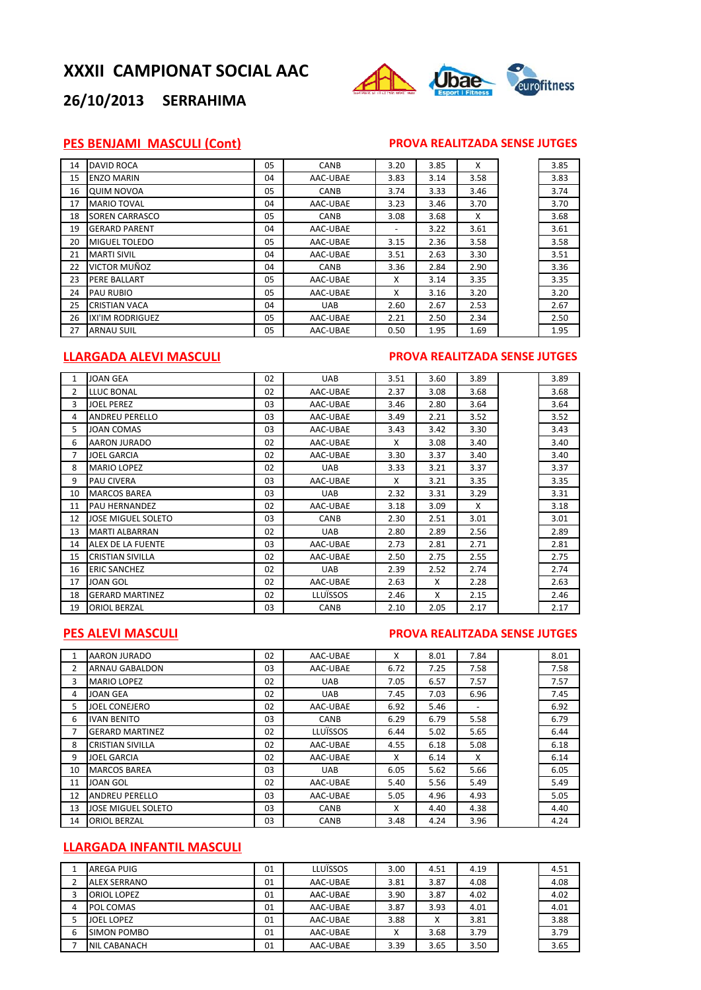

## **26/10/2013 SERRAHIMA**

#### **PES BENJAMI MASCULI (Cont) PROVA REALITZADA SENSE JUTGES**

| 14 | <b>DAVID ROCA</b>     | 05 | <b>CANB</b> | 3.20                     | 3.85 | X    | 3.85 |
|----|-----------------------|----|-------------|--------------------------|------|------|------|
| 15 | <b>ENZO MARIN</b>     | 04 | AAC-UBAE    | 3.83                     | 3.14 | 3.58 | 3.83 |
| 16 | <b>QUIM NOVOA</b>     | 05 | CANB        | 3.74                     | 3.33 | 3.46 | 3.74 |
| 17 | <b>MARIO TOVAL</b>    | 04 | AAC-UBAE    | 3.23                     | 3.46 | 3.70 | 3.70 |
| 18 | <b>SOREN CARRASCO</b> | 05 | CANB        | 3.08                     | 3.68 | X    | 3.68 |
| 19 | <b>GERARD PARENT</b>  | 04 | AAC-UBAE    | $\overline{\phantom{0}}$ | 3.22 | 3.61 | 3.61 |
| 20 | <b>MIGUEL TOLEDO</b>  | 05 | AAC-UBAE    | 3.15                     | 2.36 | 3.58 | 3.58 |
| 21 | <b>MARTI SIVIL</b>    | 04 | AAC-UBAE    | 3.51                     | 2.63 | 3.30 | 3.51 |
| 22 | VICTOR MUÑOZ          | 04 | CANB        | 3.36                     | 2.84 | 2.90 | 3.36 |
| 23 | PERE BALLART          | 05 | AAC-UBAE    | X                        | 3.14 | 3.35 | 3.35 |
| 24 | PAU RUBIO             | 05 | AAC-UBAE    | X                        | 3.16 | 3.20 | 3.20 |
| 25 | <b>CRISTIAN VACA</b>  | 04 | <b>UAB</b>  | 2.60                     | 2.67 | 2.53 | 2.67 |
| 26 | IXI'IM RODRIGUEZ      | 05 | AAC-UBAE    | 2.21                     | 2.50 | 2.34 | 2.50 |
| 27 | <b>ARNAU SUIL</b>     | 05 | AAC-UBAE    | 0.50                     | 1.95 | 1.69 | 1.95 |

## **LLARGADA ALEVI MASCULI PROVA REALITZADA SENSE JUTGES**

| $\mathbf{1}$   | <b>JOAN GEA</b>         | 02 | <b>UAB</b> | 3.51 | 3.60 | 3.89 | 3.89 |
|----------------|-------------------------|----|------------|------|------|------|------|
| $\overline{2}$ | LLUC BONAL              | 02 | AAC-UBAE   | 2.37 | 3.08 | 3.68 | 3.68 |
| 3              | <b>JOEL PEREZ</b>       | 03 | AAC-UBAE   | 3.46 | 2.80 | 3.64 | 3.64 |
| 4              | <b>ANDREU PERELLO</b>   | 03 | AAC-UBAE   | 3.49 | 2.21 | 3.52 | 3.52 |
| 5              | <b>JOAN COMAS</b>       | 03 | AAC-UBAE   | 3.43 | 3.42 | 3.30 | 3.43 |
| 6              | <b>AARON JURADO</b>     | 02 | AAC-UBAE   | X    | 3.08 | 3.40 | 3.40 |
| $\overline{7}$ | <b>JOEL GARCIA</b>      | 02 | AAC-UBAE   | 3.30 | 3.37 | 3.40 | 3.40 |
| 8              | <b>MARIO LOPEZ</b>      | 02 | <b>UAB</b> | 3.33 | 3.21 | 3.37 | 3.37 |
| 9              | <b>PAU CIVERA</b>       | 03 | AAC-UBAE   | X    | 3.21 | 3.35 | 3.35 |
| 10             | <b>MARCOS BAREA</b>     | 03 | <b>UAB</b> | 2.32 | 3.31 | 3.29 | 3.31 |
| 11             | <b>PAU HERNANDEZ</b>    | 02 | AAC-UBAE   | 3.18 | 3.09 | X    | 3.18 |
| 12             | JOSE MIGUEL SOLETO      | 03 | CANB       | 2.30 | 2.51 | 3.01 | 3.01 |
| 13             | <b>MARTI ALBARRAN</b>   | 02 | <b>UAB</b> | 2.80 | 2.89 | 2.56 | 2.89 |
| 14             | ALEX DE LA FUENTE       | 03 | AAC-UBAE   | 2.73 | 2.81 | 2.71 | 2.81 |
| 15             | <b>CRISTIAN SIVILLA</b> | 02 | AAC-UBAE   | 2.50 | 2.75 | 2.55 | 2.75 |
| 16             | <b>ERIC SANCHEZ</b>     | 02 | <b>UAB</b> | 2.39 | 2.52 | 2.74 | 2.74 |
| 17             | <b>JOAN GOL</b>         | 02 | AAC-UBAE   | 2.63 | X    | 2.28 | 2.63 |
| 18             | <b>GERARD MARTINEZ</b>  | 02 | LLUÏSSOS   | 2.46 | X    | 2.15 | 2.46 |
| 19             | <b>ORIOL BERZAL</b>     | 03 | CANB       | 2.10 | 2.05 | 2.17 | 2.17 |

## **PES ALEVI MASCULI PROVA REALITZADA SENSE JUTGES**

|                | <b>AARON JURADO</b>     | 02 | AAC-UBAE    | x    | 8.01 | 7.84 | 8.01 |
|----------------|-------------------------|----|-------------|------|------|------|------|
| $\overline{2}$ | <b>ARNAU GABALDON</b>   | 03 | AAC-UBAE    | 6.72 | 7.25 | 7.58 | 7.58 |
| 3              | <b>MARIO LOPEZ</b>      | 02 | <b>UAB</b>  | 7.05 | 6.57 | 7.57 | 7.57 |
| 4              | JOAN GEA                | 02 | <b>UAB</b>  | 7.45 | 7.03 | 6.96 | 7.45 |
| 5.             | JOEL CONEJERO           | 02 | AAC-UBAE    | 6.92 | 5.46 |      | 6.92 |
| 6              | <b>IVAN BENITO</b>      | 03 | CANB        | 6.29 | 6.79 | 5.58 | 6.79 |
| 7              | <b>GERARD MARTINEZ</b>  | 02 | LLUÏSSOS    | 6.44 | 5.02 | 5.65 | 6.44 |
| 8              | <b>CRISTIAN SIVILLA</b> | 02 | AAC-UBAE    | 4.55 | 6.18 | 5.08 | 6.18 |
| 9              | <b>JOEL GARCIA</b>      | 02 | AAC-UBAE    | X    | 6.14 | X    | 6.14 |
| 10             | <b>MARCOS BAREA</b>     | 03 | <b>UAB</b>  | 6.05 | 5.62 | 5.66 | 6.05 |
| 11             | JOAN GOL                | 02 | AAC-UBAE    | 5.40 | 5.56 | 5.49 | 5.49 |
| 12             | <b>ANDREU PERELLO</b>   | 03 | AAC-UBAE    | 5.05 | 4.96 | 4.93 | 5.05 |
| 13             | JOSE MIGUEL SOLETO      | 03 | CANB        | X    | 4.40 | 4.38 | 4.40 |
| 14             | <b>ORIOL BERZAL</b>     | 03 | <b>CANB</b> | 3.48 | 4.24 | 3.96 | 4.24 |

## **LLARGADA INFANTIL MASCULI**

|   | AREGA PUIG          | 01 | LLUÏSSOS | 3.00 | 4.51 | 4.19 | 4.51 |
|---|---------------------|----|----------|------|------|------|------|
| h | <b>ALEX SERRANO</b> | 01 | AAC-UBAE | 3.81 | 3.87 | 4.08 | 4.08 |
| 3 | <b>ORIOL LOPEZ</b>  | 01 | AAC-UBAE | 3.90 | 3.87 | 4.02 | 4.02 |
| 4 | POL COMAS           | 01 | AAC-UBAE | 3.87 | 3.93 | 4.01 | 4.01 |
|   | <b>JOEL LOPEZ</b>   | 01 | AAC-UBAE | 3.88 | Χ    | 3.81 | 3.88 |
| 6 | SIMON POMBO         | 01 | AAC-UBAE | X    | 3.68 | 3.79 | 3.79 |
|   | NIL CABANACH        | 01 | AAC-UBAE | 3.39 | 3.65 | 3.50 | 3.65 |